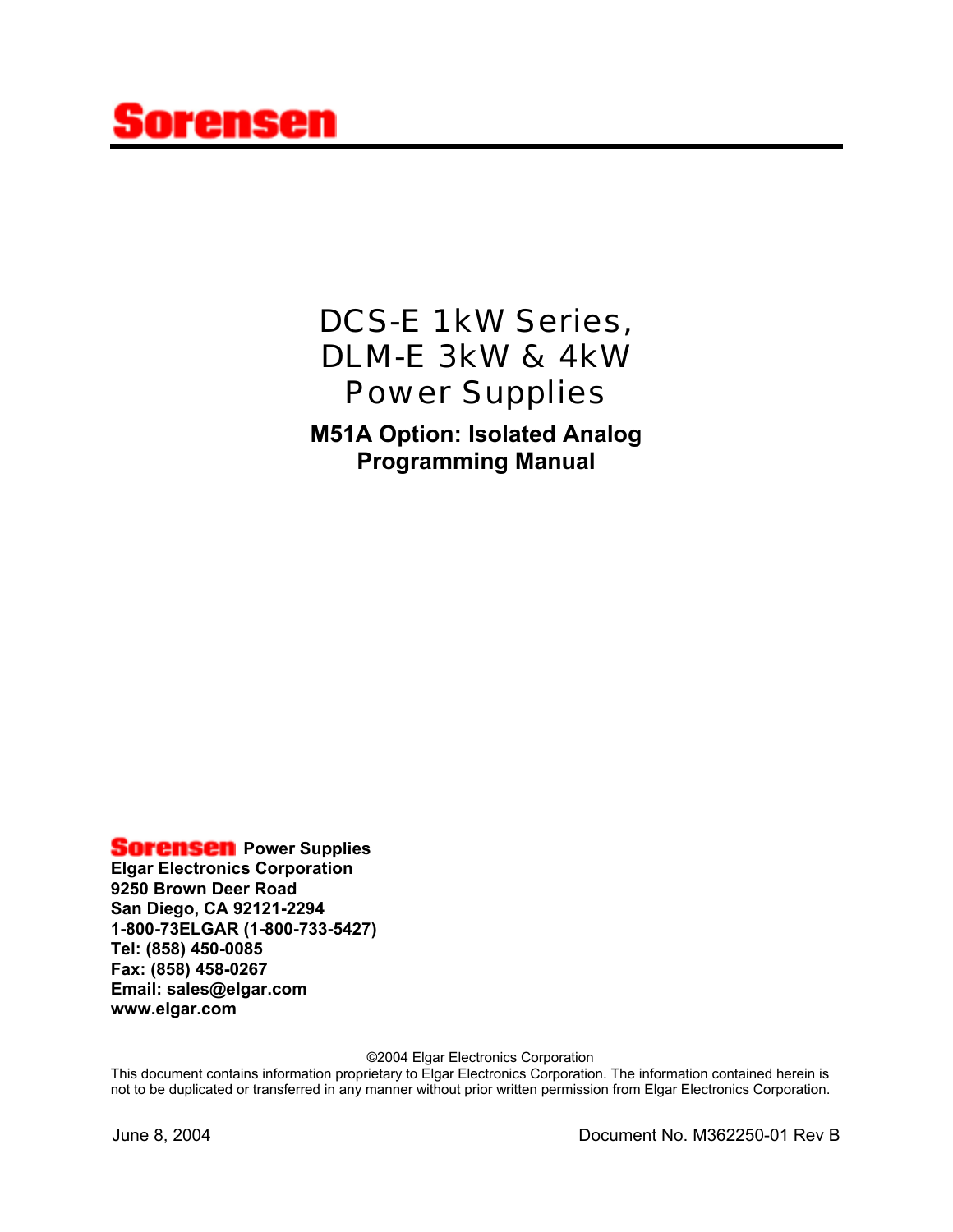# ensen

# *DCS-E 1kW Series, DLM-E 3kW & 4kW Power Supplies*

**M51A Option: Isolated Analog Programming Manual**

#### **Sorensen** Power Supplies

**Elgar Electronics Corporation 9250 Brown Deer Road San Diego, CA 92121-2294 1-800-73ELGAR (1-800-733-5427) Tel: (858) 450-0085 Fax: (858) 458-0267 Email: sales@elgar.com www.elgar.com**

©2004 Elgar Electronics Corporation

This document contains information proprietary to Elgar Electronics Corporation. The information contained herein is not to be duplicated or transferred in any manner without prior written permission from Elgar Electronics Corporation.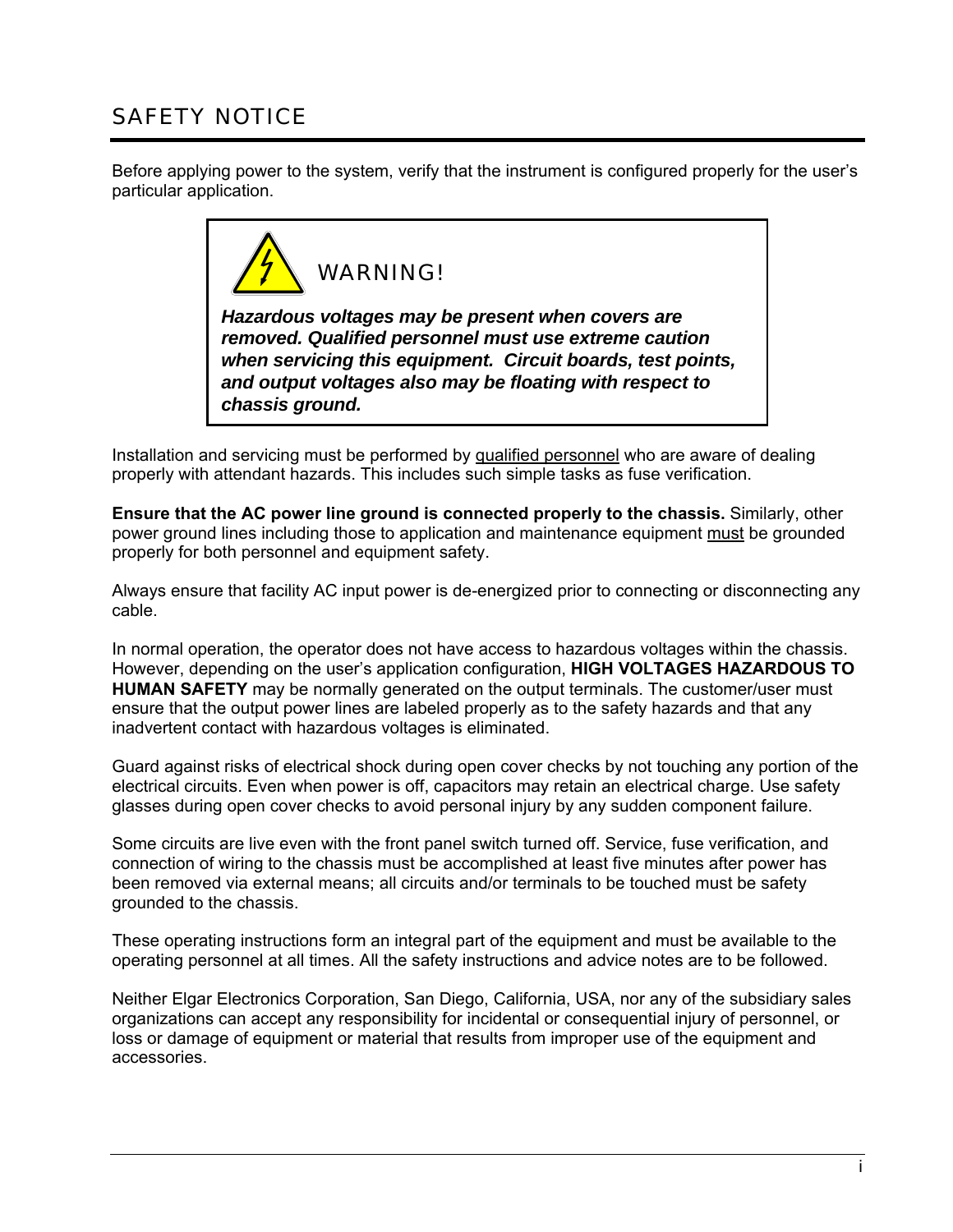# SAFETY NOTICE

Before applying power to the system, verify that the instrument is configured properly for the user's particular application.



*Hazardous voltages may be present when covers are removed. Qualified personnel must use extreme caution when servicing this equipment. Circuit boards, test points, and output voltages also may be floating with respect to chassis ground.*

Installation and servicing must be performed by qualified personnel who are aware of dealing properly with attendant hazards. This includes such simple tasks as fuse verification.

**Ensure that the AC power line ground is connected properly to the chassis.** Similarly, other power ground lines including those to application and maintenance equipment must be grounded properly for both personnel and equipment safety.

Always ensure that facility AC input power is de-energized prior to connecting or disconnecting any cable.

In normal operation, the operator does not have access to hazardous voltages within the chassis. However, depending on the user's application configuration, **HIGH VOLTAGES HAZARDOUS TO HUMAN SAFETY** may be normally generated on the output terminals. The customer/user must ensure that the output power lines are labeled properly as to the safety hazards and that any inadvertent contact with hazardous voltages is eliminated.

Guard against risks of electrical shock during open cover checks by not touching any portion of the electrical circuits. Even when power is off, capacitors may retain an electrical charge. Use safety glasses during open cover checks to avoid personal injury by any sudden component failure.

Some circuits are live even with the front panel switch turned off. Service, fuse verification, and connection of wiring to the chassis must be accomplished at least five minutes after power has been removed via external means; all circuits and/or terminals to be touched must be safety grounded to the chassis.

These operating instructions form an integral part of the equipment and must be available to the operating personnel at all times. All the safety instructions and advice notes are to be followed.

Neither Elgar Electronics Corporation, San Diego, California, USA, nor any of the subsidiary sales organizations can accept any responsibility for incidental or consequential injury of personnel, or loss or damage of equipment or material that results from improper use of the equipment and accessories.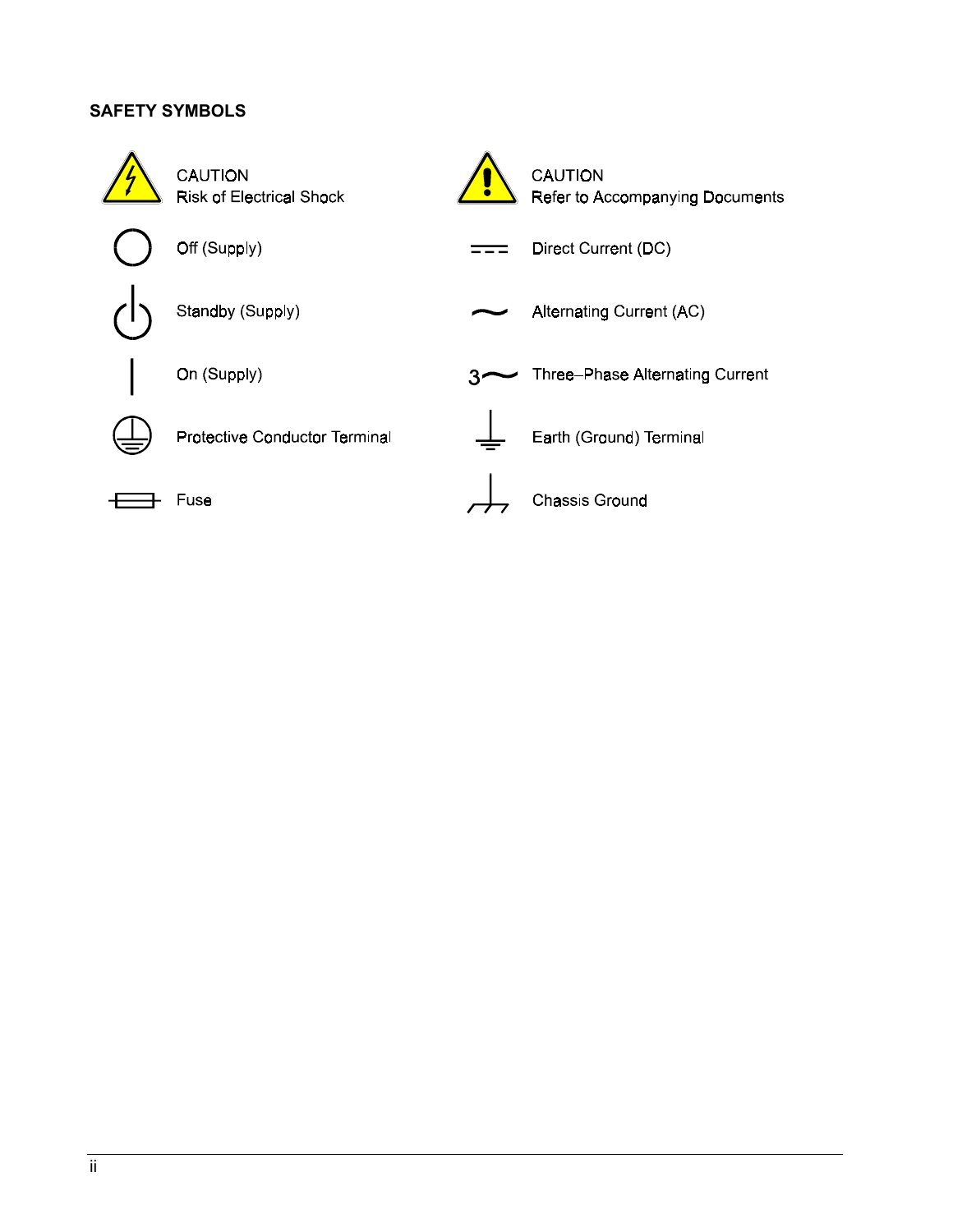#### **SAFETY SYMBOLS**

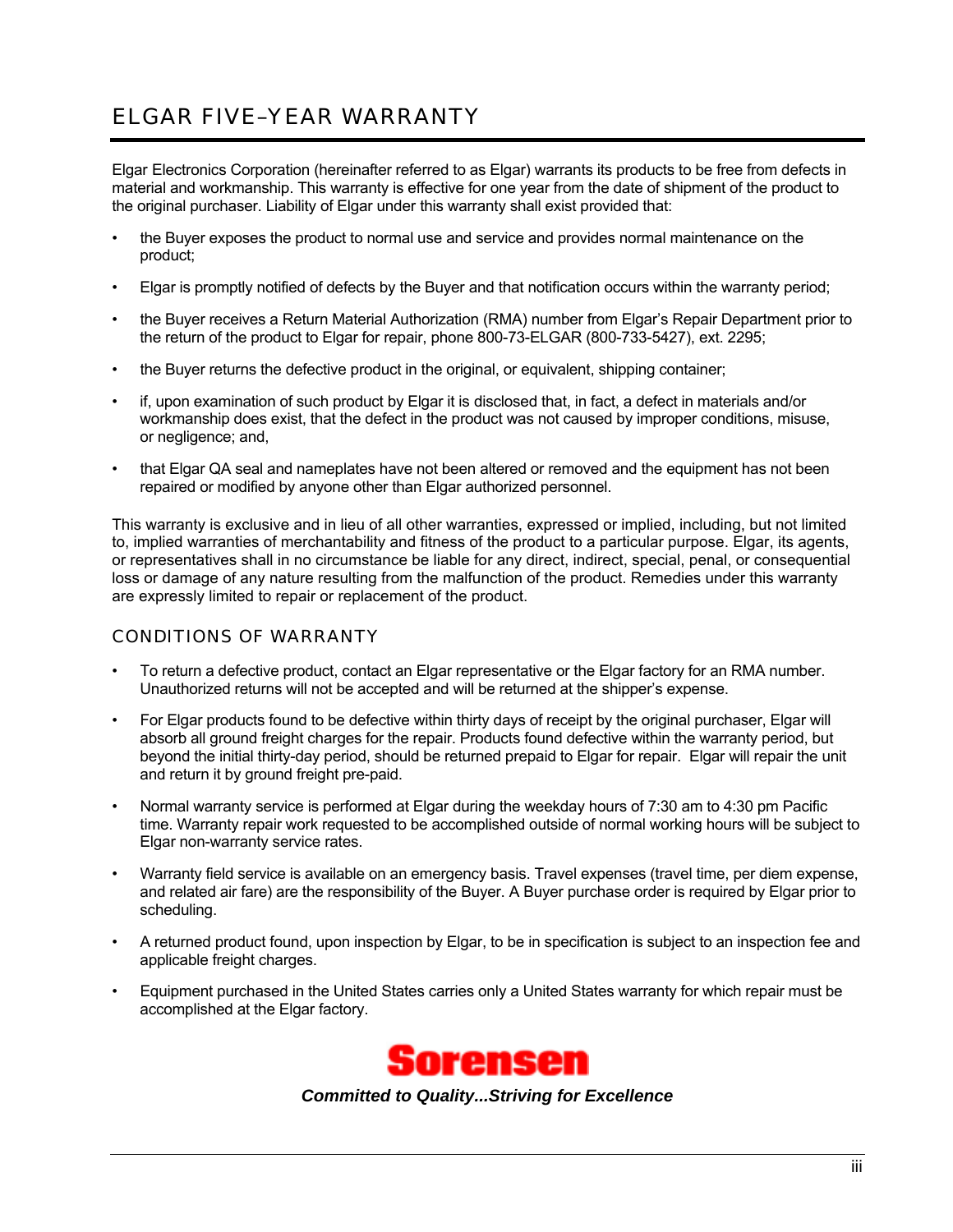# ELGAR FIVE–YEAR WARRANTY

Elgar Electronics Corporation (hereinafter referred to as Elgar) warrants its products to be free from defects in material and workmanship. This warranty is effective for one year from the date of shipment of the product to the original purchaser. Liability of Elgar under this warranty shall exist provided that:

- the Buyer exposes the product to normal use and service and provides normal maintenance on the product;
- Elgar is promptly notified of defects by the Buyer and that notification occurs within the warranty period;
- the Buyer receives a Return Material Authorization (RMA) number from Elgar's Repair Department prior to the return of the product to Elgar for repair, phone 800-73-ELGAR (800-733-5427), ext. 2295;
- the Buyer returns the defective product in the original, or equivalent, shipping container;
- if, upon examination of such product by Elgar it is disclosed that, in fact, a defect in materials and/or workmanship does exist, that the defect in the product was not caused by improper conditions, misuse, or negligence; and,
- that Elgar QA seal and nameplates have not been altered or removed and the equipment has not been repaired or modified by anyone other than Elgar authorized personnel.

This warranty is exclusive and in lieu of all other warranties, expressed or implied, including, but not limited to, implied warranties of merchantability and fitness of the product to a particular purpose. Elgar, its agents, or representatives shall in no circumstance be liable for any direct, indirect, special, penal, or consequential loss or damage of any nature resulting from the malfunction of the product. Remedies under this warranty are expressly limited to repair or replacement of the product.

#### CONDITIONS OF WARRANTY

- To return a defective product, contact an Elgar representative or the Elgar factory for an RMA number. Unauthorized returns will not be accepted and will be returned at the shipper's expense.
- For Elgar products found to be defective within thirty days of receipt by the original purchaser, Elgar will absorb all ground freight charges for the repair. Products found defective within the warranty period, but beyond the initial thirty-day period, should be returned prepaid to Elgar for repair. Elgar will repair the unit and return it by ground freight pre-paid.
- Normal warranty service is performed at Elgar during the weekday hours of 7:30 am to 4:30 pm Pacific time. Warranty repair work requested to be accomplished outside of normal working hours will be subject to Elgar non-warranty service rates.
- Warranty field service is available on an emergency basis. Travel expenses (travel time, per diem expense, and related air fare) are the responsibility of the Buyer. A Buyer purchase order is required by Elgar prior to scheduling.
- A returned product found, upon inspection by Elgar, to be in specification is subject to an inspection fee and applicable freight charges.
- Equipment purchased in the United States carries only a United States warranty for which repair must be accomplished at the Elgar factory.



*Committed to Quality...Striving for Excellence*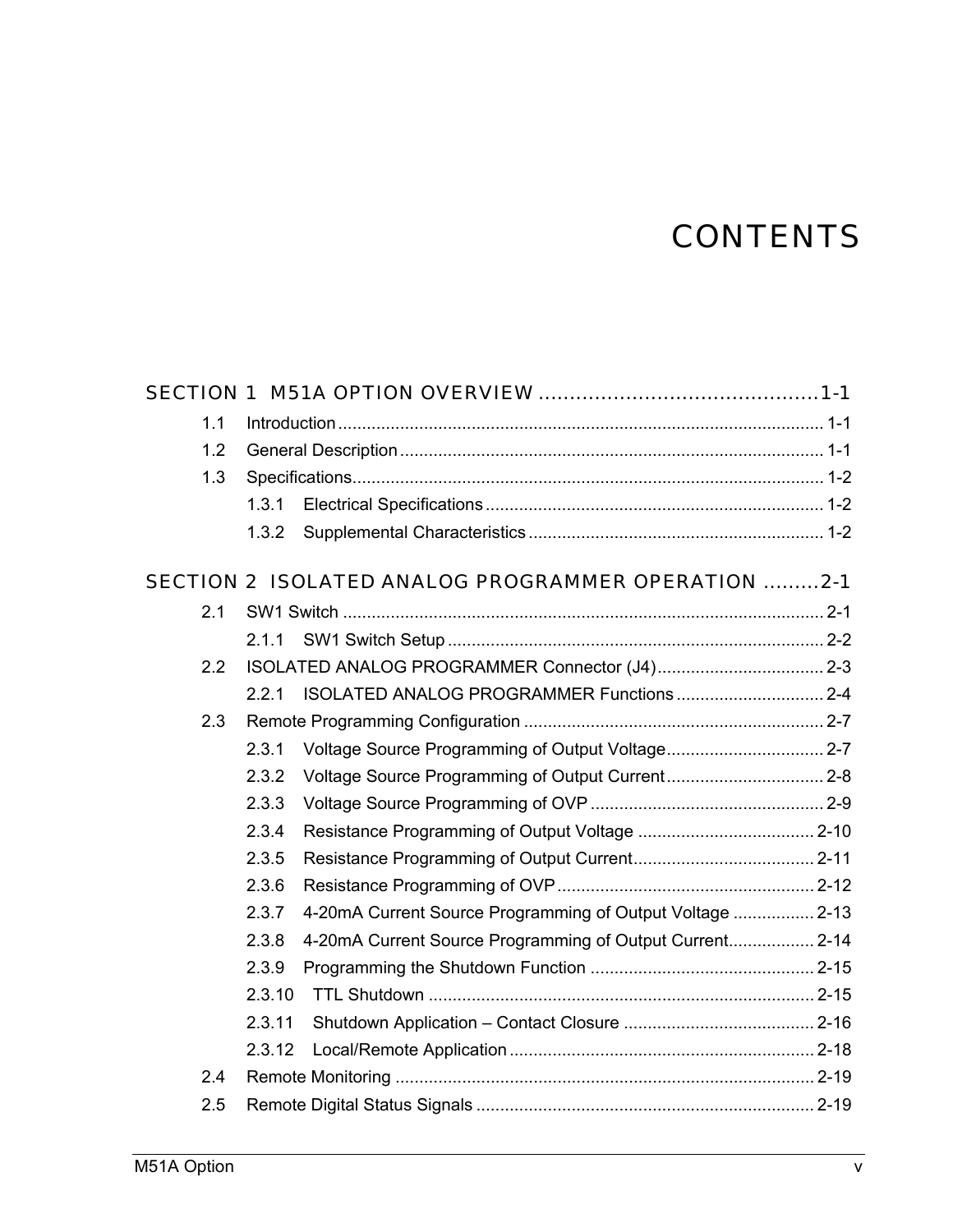# **CONTENTS**

| 1.1 |        |                                                           |  |
|-----|--------|-----------------------------------------------------------|--|
| 1.2 |        |                                                           |  |
| 1.3 |        |                                                           |  |
|     | 1.3.1  |                                                           |  |
|     | 1.3.2  |                                                           |  |
|     |        | SECTION 2 ISOLATED ANALOG PROGRAMMER OPERATION 2-1        |  |
| 2.1 |        |                                                           |  |
|     | 2.1.1  |                                                           |  |
| 2.2 |        |                                                           |  |
|     | 2.2.1  |                                                           |  |
| 2.3 |        |                                                           |  |
|     | 2.3.1  |                                                           |  |
|     | 2.3.2  |                                                           |  |
|     | 2.3.3  |                                                           |  |
|     | 2.3.4  |                                                           |  |
|     | 2.3.5  |                                                           |  |
|     | 2.3.6  |                                                           |  |
|     | 2.3.7  | 4-20mA Current Source Programming of Output Voltage  2-13 |  |
|     | 2.3.8  | 4-20mA Current Source Programming of Output Current 2-14  |  |
|     | 2.3.9  |                                                           |  |
|     | 2.3.10 |                                                           |  |
|     | 2.3.11 |                                                           |  |
|     | 2.3.12 |                                                           |  |
| 2.4 |        |                                                           |  |
| 2.5 |        |                                                           |  |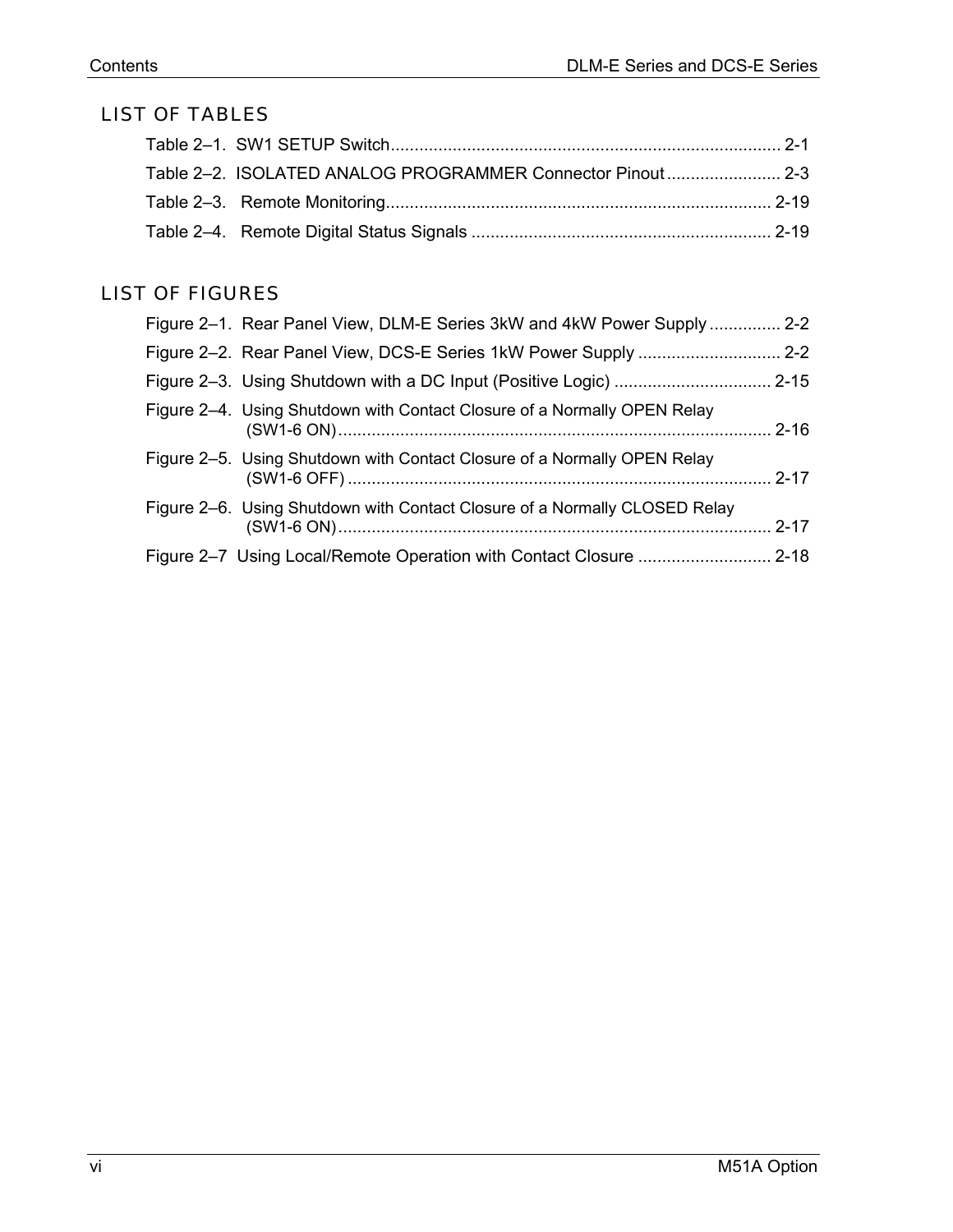## LIST OF TABLES

| Table 2-2. ISOLATED ANALOG PROGRAMMER Connector Pinout 2-3 |  |
|------------------------------------------------------------|--|
|                                                            |  |
|                                                            |  |

## LIST OF FIGURES

| Figure 2-1. Rear Panel View, DLM-E Series 3kW and 4kW Power Supply  2-2    |          |
|----------------------------------------------------------------------------|----------|
|                                                                            |          |
|                                                                            |          |
| Figure 2–4. Using Shutdown with Contact Closure of a Normally OPEN Relay   |          |
| Figure 2–5. Using Shutdown with Contact Closure of a Normally OPEN Relay   |          |
| Figure 2–6. Using Shutdown with Contact Closure of a Normally CLOSED Relay | $2 - 17$ |
|                                                                            |          |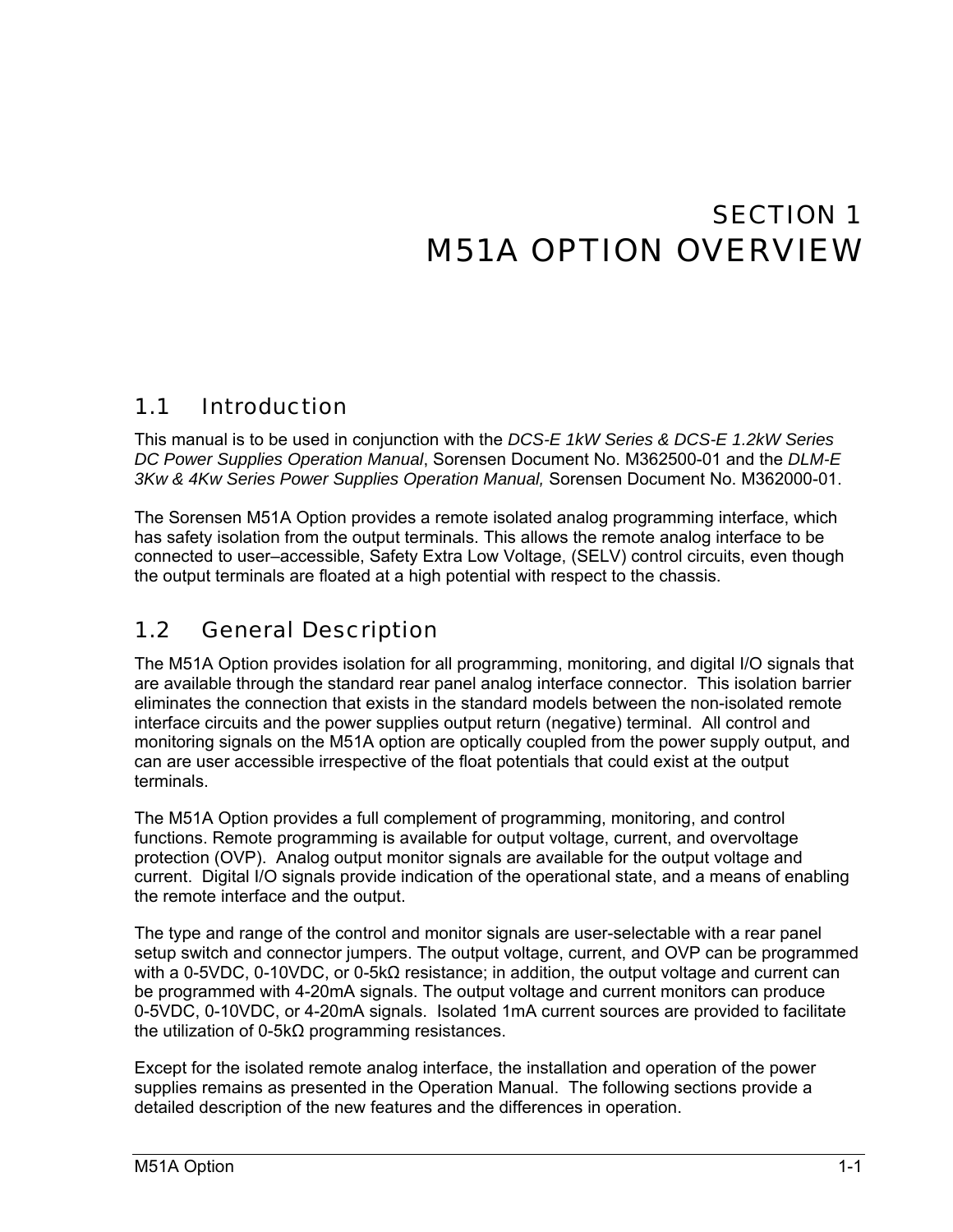# SECTION 1 M51A OPTION OVERVIEW

## <span id="page-6-0"></span>1.1 Introduction

This manual is to be used in conjunction with the *DCS-E 1kW Series & DCS-E 1.2kW Series DC Power Supplies Operation Manual*, Sorensen Document No. M362500-01 and the *DLM-E 3Kw & 4Kw Series Power Supplies Operation Manual,* Sorensen Document No. M362000-01.

The Sorensen M51A Option provides a remote isolated analog programming interface, which has safety isolation from the output terminals. This allows the remote analog interface to be connected to user–accessible, Safety Extra Low Voltage, (SELV) control circuits, even though the output terminals are floated at a high potential with respect to the chassis.

#### 1.2 General Description

The M51A Option provides isolation for all programming, monitoring, and digital I/O signals that are available through the standard rear panel analog interface connector. This isolation barrier eliminates the connection that exists in the standard models between the non-isolated remote interface circuits and the power supplies output return (negative) terminal. All control and monitoring signals on the M51A option are optically coupled from the power supply output, and can are user accessible irrespective of the float potentials that could exist at the output terminals.

The M51A Option provides a full complement of programming, monitoring, and control functions. Remote programming is available for output voltage, current, and overvoltage protection (OVP). Analog output monitor signals are available for the output voltage and current. Digital I/O signals provide indication of the operational state, and a means of enabling the remote interface and the output.

The type and range of the control and monitor signals are user-selectable with a rear panel setup switch and connector jumpers. The output voltage, current, and OVP can be programmed with a 0-5VDC, 0-10VDC, or 0-5kΩ resistance; in addition, the output voltage and current can be programmed with 4-20mA signals. The output voltage and current monitors can produce 0-5VDC, 0-10VDC, or 4-20mA signals. Isolated 1mA current sources are provided to facilitate the utilization of 0-5kΩ programming resistances.

Except for the isolated remote analog interface, the installation and operation of the power supplies remains as presented in the Operation Manual. The following sections provide a detailed description of the new features and the differences in operation.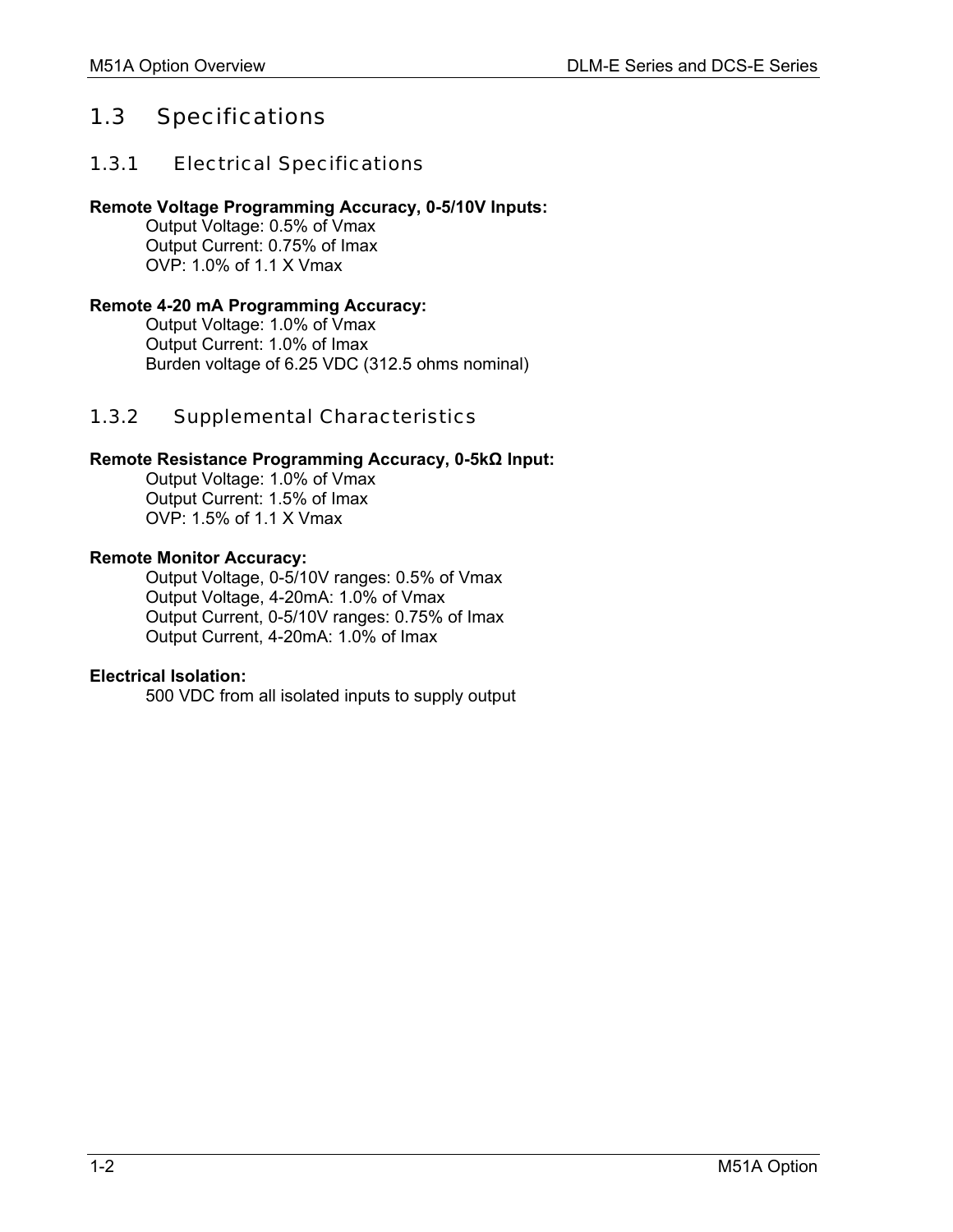## <span id="page-7-0"></span>1.3 Specifications

#### 1.3.1 Electrical Specifications

#### **Remote Voltage Programming Accuracy, 0-5/10V Inputs:**

 Output Voltage: 0.5% of Vmax Output Current: 0.75% of Imax OVP: 1.0% of 1.1 X Vmax

#### **Remote 4-20 mA Programming Accuracy:**

 Output Voltage: 1.0% of Vmax Output Current: 1.0% of Imax Burden voltage of 6.25 VDC (312.5 ohms nominal)

#### 1.3.2 Supplemental Characteristics

#### **Remote Resistance Programming Accuracy, 0-5kΩ Input:**

 Output Voltage: 1.0% of Vmax Output Current: 1.5% of Imax  $OVP: 1.5\%$  of 1.1 X Vmax

#### **Remote Monitor Accuracy:**

 Output Voltage, 0-5/10V ranges: 0.5% of Vmax Output Voltage, 4-20mA: 1.0% of Vmax Output Current, 0-5/10V ranges: 0.75% of Imax Output Current, 4-20mA: 1.0% of Imax

#### **Electrical Isolation:**

500 VDC from all isolated inputs to supply output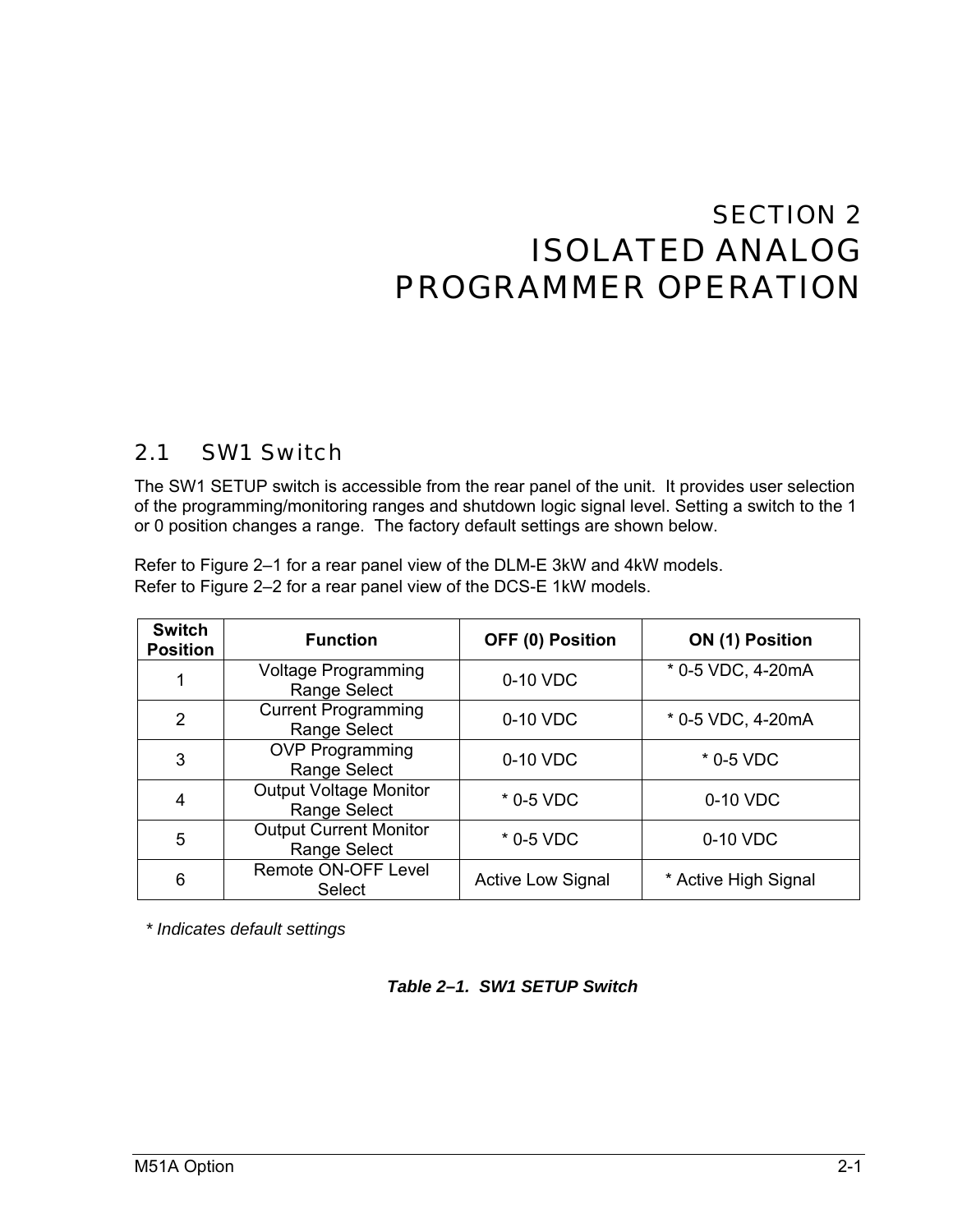# <span id="page-8-0"></span>SECTION 2 ISOLATED ANALOG PROGRAMMER OPERATION

#### 2.1 SW1 Switch

The SW1 SETUP switch is accessible from the rear panel of the unit. It provides user selection of the programming/monitoring ranges and shutdown logic signal level. Setting a switch to the 1 or 0 position changes a range. The factory default settings are shown below.

Refer to [Figure 2–1](#page-9-0) for a rear panel view of the DLM-E 3kW and 4kW models. Refer to [Figure 2–2](#page-9-0) for a rear panel view of the DCS-E 1kW models.

| <b>Switch</b><br><b>Position</b> | <b>Function</b>                               | OFF (0) Position         | ON (1) Position      |
|----------------------------------|-----------------------------------------------|--------------------------|----------------------|
| 1                                | <b>Voltage Programming</b><br>Range Select    | 0-10 VDC                 | * 0-5 VDC, 4-20mA    |
| $\overline{2}$                   | <b>Current Programming</b><br>Range Select    | 0-10 VDC                 | * 0-5 VDC, 4-20mA    |
| 3                                | <b>OVP Programming</b><br>Range Select        | 0-10 VDC                 | $*$ 0-5 VDC          |
| 4                                | <b>Output Voltage Monitor</b><br>Range Select | $*$ 0-5 VDC              | 0-10 VDC             |
| 5                                | <b>Output Current Monitor</b><br>Range Select | * 0-5 VDC                | 0-10 VDC             |
| 6                                | Remote ON-OFF Level<br><b>Select</b>          | <b>Active Low Signal</b> | * Active High Signal |

*\* Indicates default settings* 

#### *Table 2–1. SW1 SETUP Switch*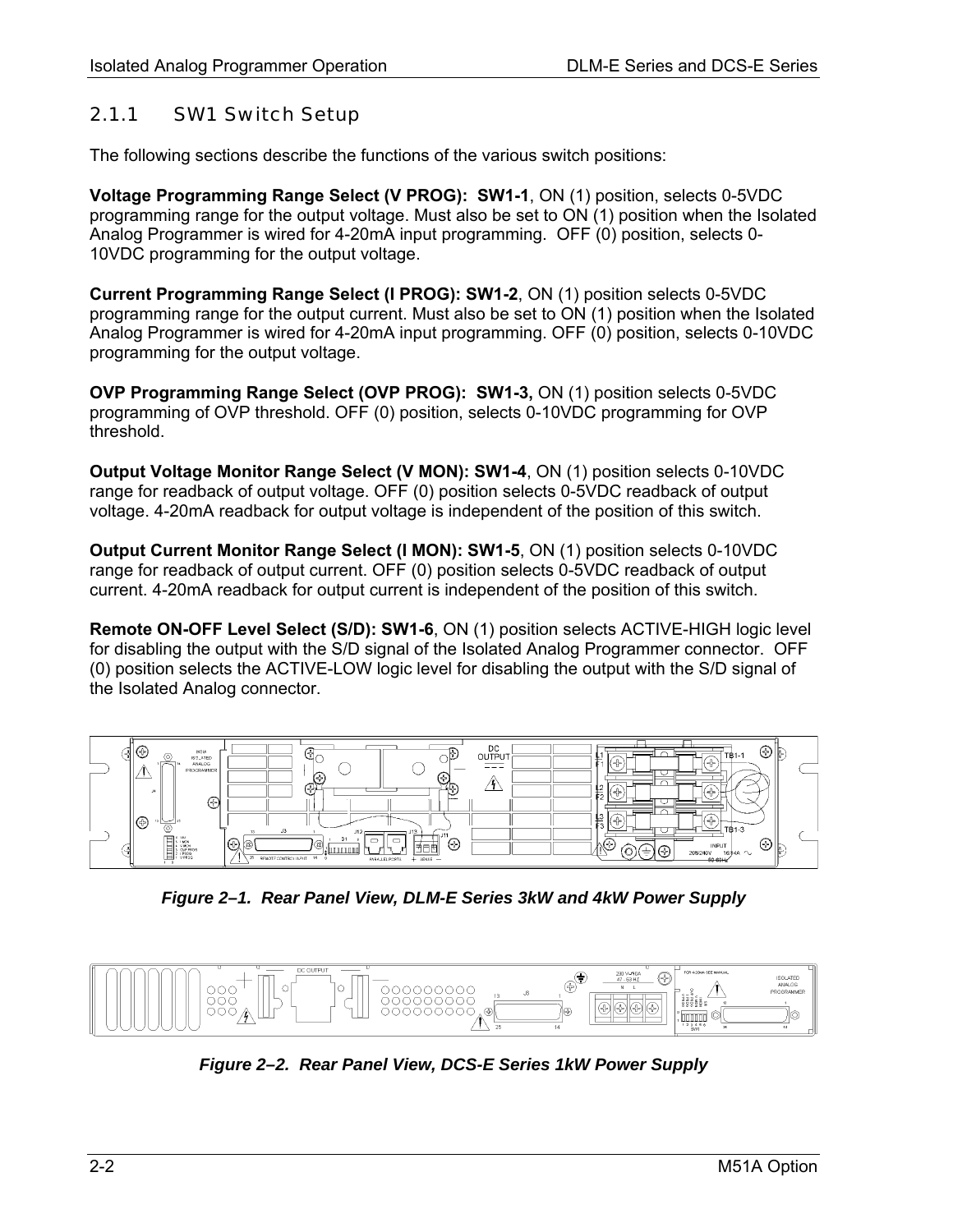## <span id="page-9-0"></span>2.1.1 SW1 Switch Setup

The following sections describe the functions of the various switch positions:

**Voltage Programming Range Select (V PROG): SW1-1**, ON (1) position, selects 0-5VDC programming range for the output voltage. Must also be set to ON (1) position when the Isolated Analog Programmer is wired for 4-20mA input programming. OFF (0) position, selects 0- 10VDC programming for the output voltage.

**Current Programming Range Select (I PROG): SW1-2**, ON (1) position selects 0-5VDC programming range for the output current. Must also be set to ON (1) position when the Isolated Analog Programmer is wired for 4-20mA input programming. OFF (0) position, selects 0-10VDC programming for the output voltage.

**OVP Programming Range Select (OVP PROG): SW1-3,** ON (1) position selects 0-5VDC programming of OVP threshold. OFF (0) position, selects 0-10VDC programming for OVP threshold.

**Output Voltage Monitor Range Select (V MON): SW1-4**, ON (1) position selects 0-10VDC range for readback of output voltage. OFF (0) position selects 0-5VDC readback of output voltage. 4-20mA readback for output voltage is independent of the position of this switch.

**Output Current Monitor Range Select (I MON): SW1-5**, ON (1) position selects 0-10VDC range for readback of output current. OFF (0) position selects 0-5VDC readback of output current. 4-20mA readback for output current is independent of the position of this switch.

**Remote ON-OFF Level Select (S/D): SW1-6**, ON (1) position selects ACTIVE-HIGH logic level for disabling the output with the S/D signal of the Isolated Analog Programmer connector. OFF (0) position selects the ACTIVE-LOW logic level for disabling the output with the S/D signal of the Isolated Analog connector.



*Figure 2–1. Rear Panel View, DLM-E Series 3kW and 4kW Power Supply* 



*Figure 2–2. Rear Panel View, DCS-E Series 1kW Power Supply*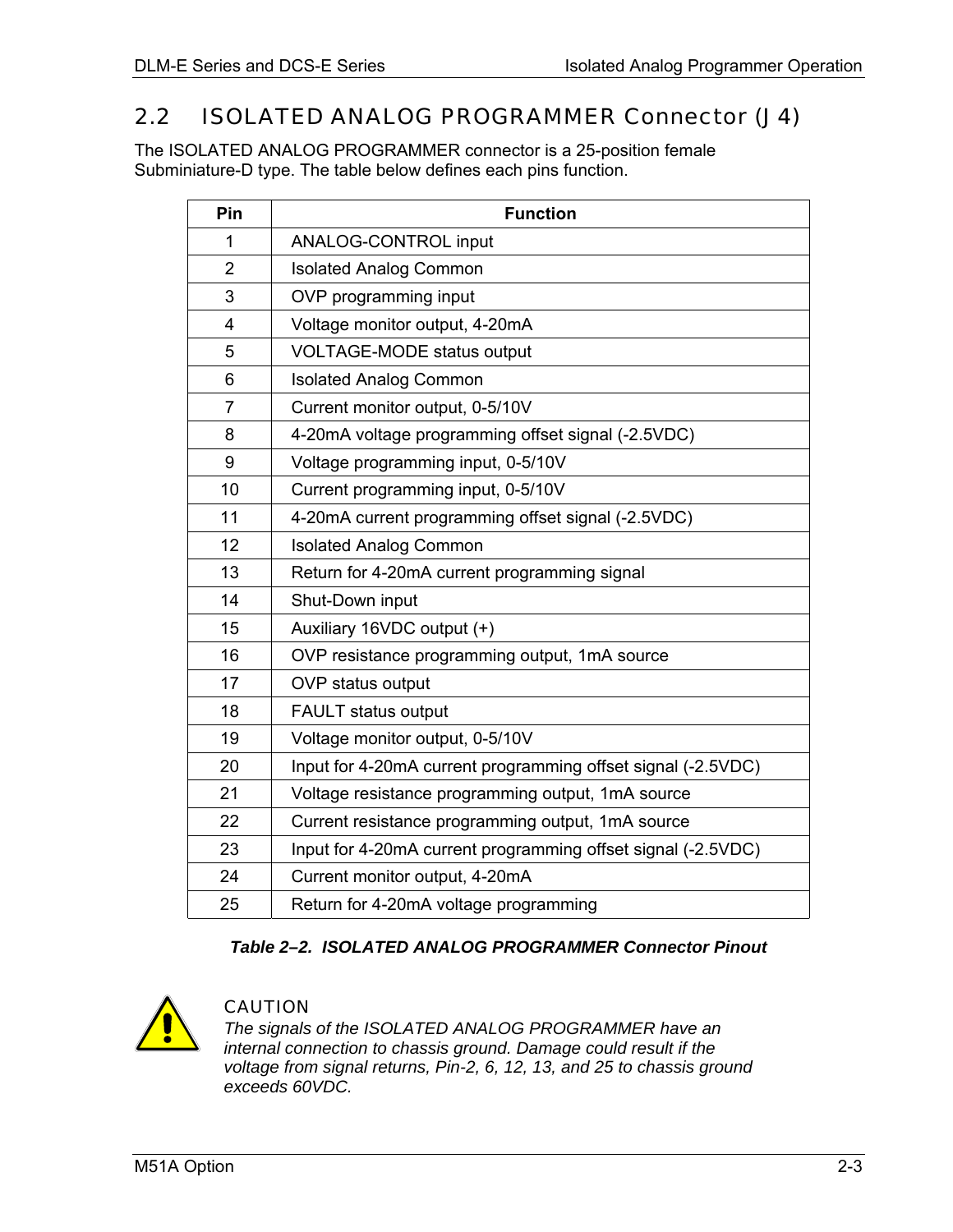# <span id="page-10-0"></span>2.2 ISOLATED ANALOG PROGRAMMER Connector (J4)

The ISOLATED ANALOG PROGRAMMER connector is a 25-position female Subminiature-D type. The table below defines each pins function.

| Pin            | <b>Function</b>                                              |
|----------------|--------------------------------------------------------------|
| 1              | <b>ANALOG-CONTROL input</b>                                  |
| $\overline{2}$ | <b>Isolated Analog Common</b>                                |
| 3              | OVP programming input                                        |
| 4              | Voltage monitor output, 4-20mA                               |
| 5              | <b>VOLTAGE-MODE status output</b>                            |
| 6              | <b>Isolated Analog Common</b>                                |
| $\overline{7}$ | Current monitor output, 0-5/10V                              |
| 8              | 4-20mA voltage programming offset signal (-2.5VDC)           |
| 9              | Voltage programming input, 0-5/10V                           |
| 10             | Current programming input, 0-5/10V                           |
| 11             | 4-20mA current programming offset signal (-2.5VDC)           |
| 12             | <b>Isolated Analog Common</b>                                |
| 13             | Return for 4-20mA current programming signal                 |
| 14             | Shut-Down input                                              |
| 15             | Auxiliary 16VDC output (+)                                   |
| 16             | OVP resistance programming output, 1mA source                |
| 17             | OVP status output                                            |
| 18             | <b>FAULT status output</b>                                   |
| 19             | Voltage monitor output, 0-5/10V                              |
| 20             | Input for 4-20mA current programming offset signal (-2.5VDC) |
| 21             | Voltage resistance programming output, 1mA source            |
| 22             | Current resistance programming output, 1mA source            |
| 23             | Input for 4-20mA current programming offset signal (-2.5VDC) |
| 24             | Current monitor output, 4-20mA                               |
| 25             | Return for 4-20mA voltage programming                        |

#### *Table 2–2. ISOLATED ANALOG PROGRAMMER Connector Pinout*



#### CAUTION

*The signals of the ISOLATED ANALOG PROGRAMMER have an internal connection to chassis ground. Damage could result if the voltage from signal returns, Pin-2, 6, 12, 13, and 25 to chassis ground exceeds 60VDC.*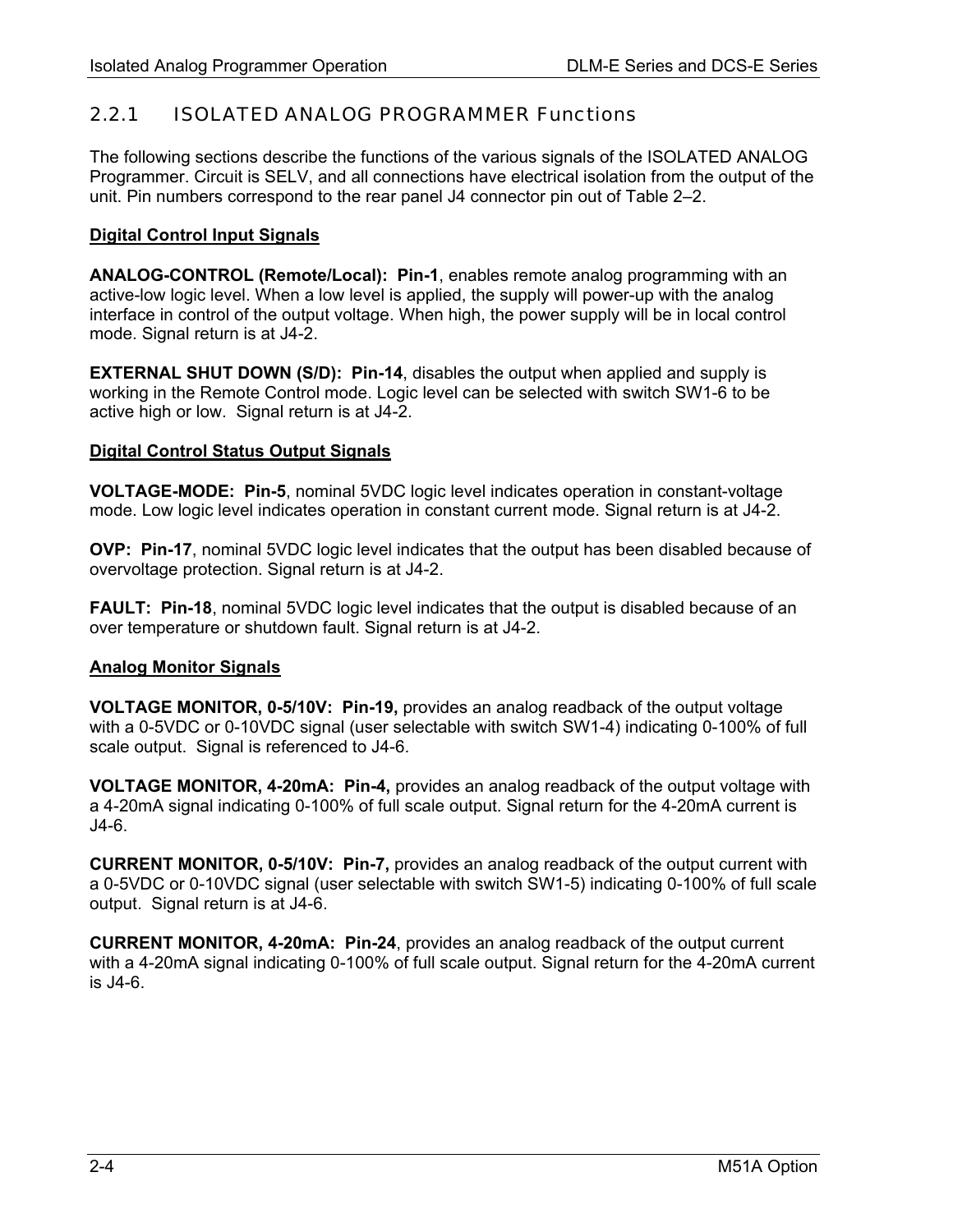### <span id="page-11-0"></span>2.2.1 ISOLATED ANALOG PROGRAMMER Functions

The following sections describe the functions of the various signals of the ISOLATED ANALOG Programmer. Circuit is SELV, and all connections have electrical isolation from the output of the unit. Pin numbers correspond to the rear panel J4 connector pin out of [Table 2–2.](#page-10-0)

#### **Digital Control Input Signals**

**ANALOG-CONTROL (Remote/Local): Pin-1**, enables remote analog programming with an active-low logic level. When a low level is applied, the supply will power-up with the analog interface in control of the output voltage. When high, the power supply will be in local control mode. Signal return is at J4-2.

**EXTERNAL SHUT DOWN (S/D): Pin-14**, disables the output when applied and supply is working in the Remote Control mode. Logic level can be selected with switch SW1-6 to be active high or low. Signal return is at J4-2.

#### **Digital Control Status Output Signals**

**VOLTAGE-MODE: Pin-5**, nominal 5VDC logic level indicates operation in constant-voltage mode. Low logic level indicates operation in constant current mode. Signal return is at J4-2.

**OVP: Pin-17**, nominal 5VDC logic level indicates that the output has been disabled because of overvoltage protection. Signal return is at J4-2.

**FAULT: Pin-18**, nominal 5VDC logic level indicates that the output is disabled because of an over temperature or shutdown fault. Signal return is at J4-2.

#### **Analog Monitor Signals**

**VOLTAGE MONITOR, 0-5/10V: Pin-19,** provides an analog readback of the output voltage with a 0-5VDC or 0-10VDC signal (user selectable with switch SW1-4) indicating 0-100% of full scale output. Signal is referenced to J4-6.

**VOLTAGE MONITOR, 4-20mA: Pin-4,** provides an analog readback of the output voltage with a 4-20mA signal indicating 0-100% of full scale output. Signal return for the 4-20mA current is J4-6.

**CURRENT MONITOR, 0-5/10V: Pin-7,** provides an analog readback of the output current with a 0-5VDC or 0-10VDC signal (user selectable with switch SW1-5) indicating 0-100% of full scale output. Signal return is at J4-6.

**CURRENT MONITOR, 4-20mA: Pin-24**, provides an analog readback of the output current with a 4-20mA signal indicating 0-100% of full scale output. Signal return for the 4-20mA current is J4-6.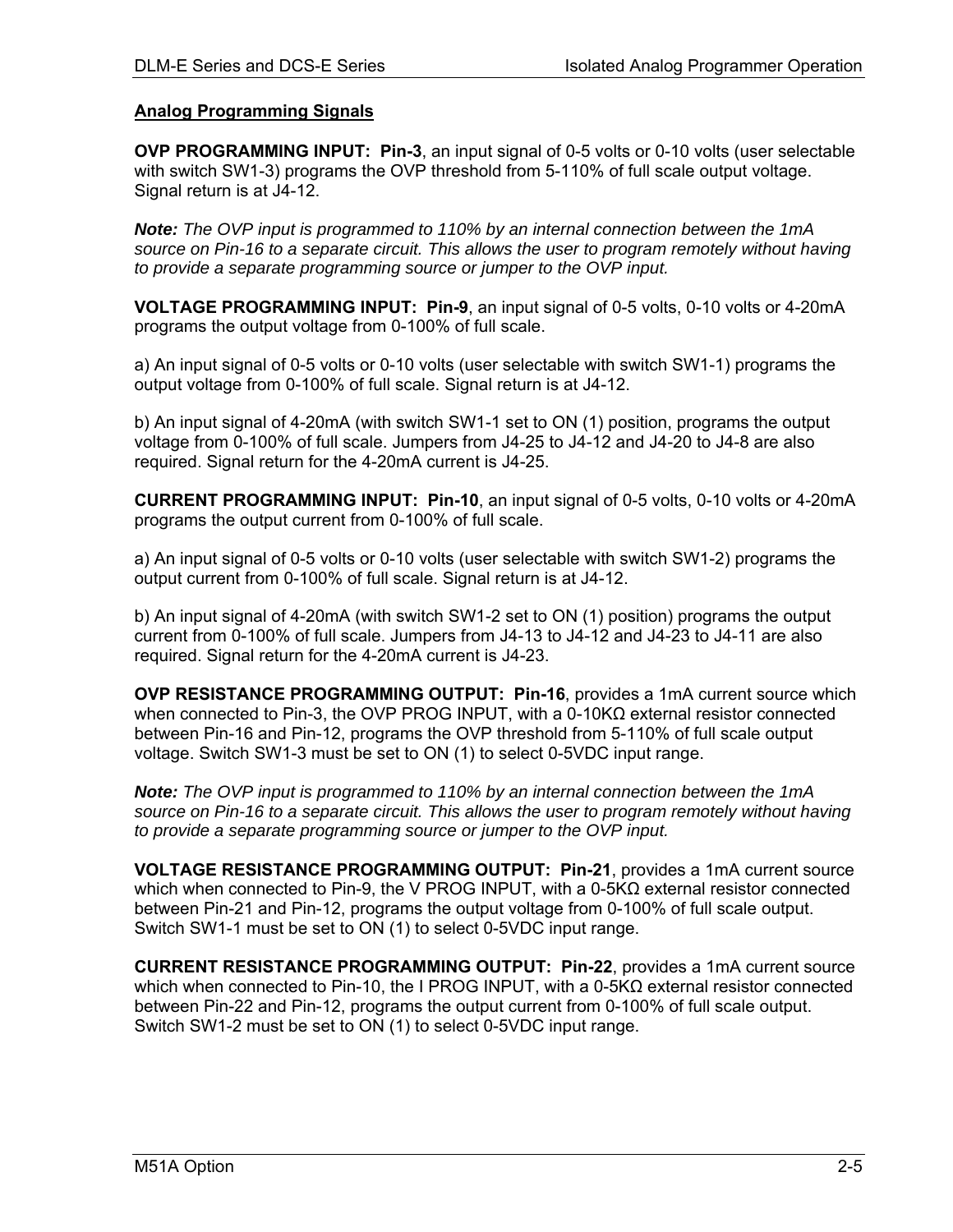#### **Analog Programming Signals**

**OVP PROGRAMMING INPUT: Pin-3**, an input signal of 0-5 volts or 0-10 volts (user selectable with switch SW1-3) programs the OVP threshold from 5-110% of full scale output voltage. Signal return is at J4-12.

*Note: The OVP input is programmed to 110% by an internal connection between the 1mA source on Pin-16 to a separate circuit. This allows the user to program remotely without having to provide a separate programming source or jumper to the OVP input.*

**VOLTAGE PROGRAMMING INPUT: Pin-9**, an input signal of 0-5 volts, 0-10 volts or 4-20mA programs the output voltage from 0-100% of full scale.

a) An input signal of 0-5 volts or 0-10 volts (user selectable with switch SW1-1) programs the output voltage from 0-100% of full scale. Signal return is at J4-12.

b) An input signal of 4-20mA (with switch SW1-1 set to ON (1) position, programs the output voltage from 0-100% of full scale. Jumpers from J4-25 to J4-12 and J4-20 to J4-8 are also required. Signal return for the 4-20mA current is J4-25.

**CURRENT PROGRAMMING INPUT: Pin-10**, an input signal of 0-5 volts, 0-10 volts or 4-20mA programs the output current from 0-100% of full scale.

a) An input signal of 0-5 volts or 0-10 volts (user selectable with switch SW1-2) programs the output current from 0-100% of full scale. Signal return is at J4-12.

b) An input signal of 4-20mA (with switch SW1-2 set to ON (1) position) programs the output current from 0-100% of full scale. Jumpers from J4-13 to J4-12 and J4-23 to J4-11 are also required. Signal return for the 4-20mA current is J4-23.

**OVP RESISTANCE PROGRAMMING OUTPUT: Pin-16**, provides a 1mA current source which when connected to Pin-3, the OVP PROG INPUT, with a 0-10KΩ external resistor connected between Pin-16 and Pin-12, programs the OVP threshold from 5-110% of full scale output voltage. Switch SW1-3 must be set to ON (1) to select 0-5VDC input range.

*Note: The OVP input is programmed to 110% by an internal connection between the 1mA source on Pin-16 to a separate circuit. This allows the user to program remotely without having to provide a separate programming source or jumper to the OVP input.*

**VOLTAGE RESISTANCE PROGRAMMING OUTPUT: Pin-21**, provides a 1mA current source which when connected to Pin-9, the V PROG INPUT, with a 0-5KΩ external resistor connected between Pin-21 and Pin-12, programs the output voltage from 0-100% of full scale output. Switch SW1-1 must be set to ON (1) to select 0-5VDC input range.

**CURRENT RESISTANCE PROGRAMMING OUTPUT: Pin-22**, provides a 1mA current source which when connected to Pin-10, the I PROG INPUT, with a 0-5KΩ external resistor connected between Pin-22 and Pin-12, programs the output current from 0-100% of full scale output. Switch SW1-2 must be set to ON (1) to select 0-5VDC input range.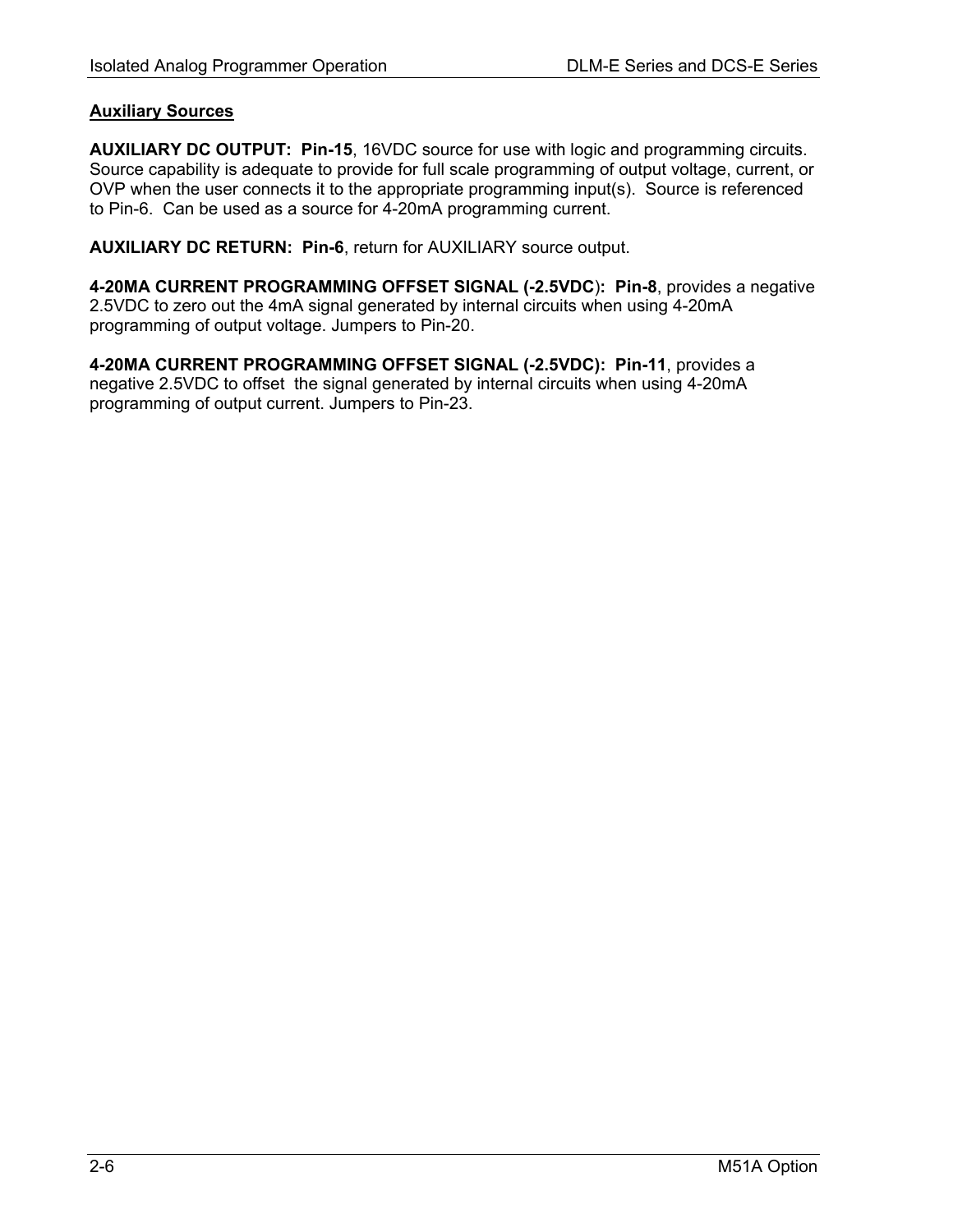#### **Auxiliary Sources**

**AUXILIARY DC OUTPUT: Pin-15**, 16VDC source for use with logic and programming circuits. Source capability is adequate to provide for full scale programming of output voltage, current, or OVP when the user connects it to the appropriate programming input(s). Source is referenced to Pin-6. Can be used as a source for 4-20mA programming current.

**AUXILIARY DC RETURN: Pin-6**, return for AUXILIARY source output.

**4-20MA CURRENT PROGRAMMING OFFSET SIGNAL (-2.5VDC**)**: Pin-8**, provides a negative 2.5VDC to zero out the 4mA signal generated by internal circuits when using 4-20mA programming of output voltage. Jumpers to Pin-20.

**4-20MA CURRENT PROGRAMMING OFFSET SIGNAL (-2.5VDC): Pin-11**, provides a negative 2.5VDC to offset the signal generated by internal circuits when using 4-20mA programming of output current. Jumpers to Pin-23.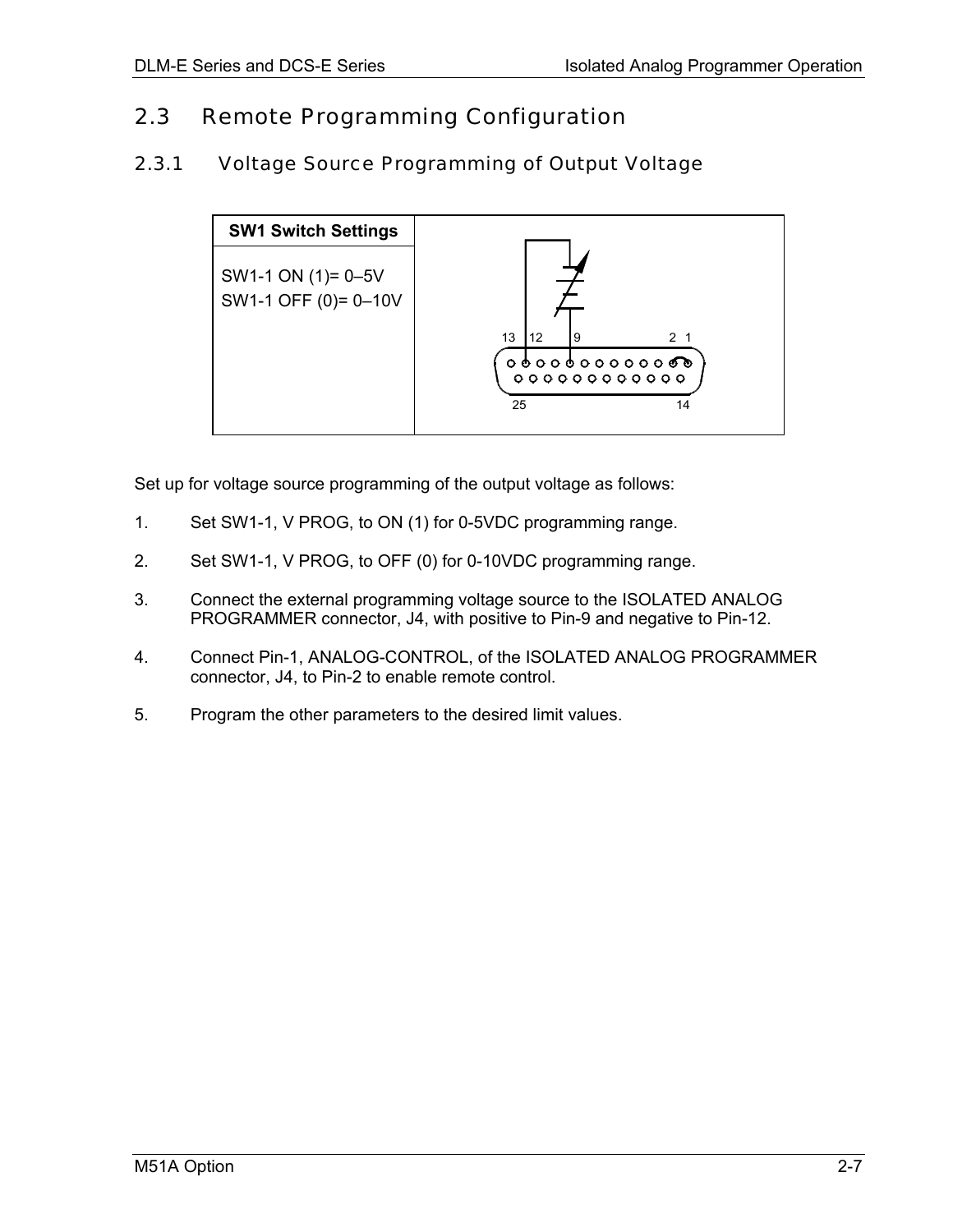#### <span id="page-14-0"></span>2.3 Remote Programming Configuration

#### 2.3.1 Voltage Source Programming of Output Voltage



Set up for voltage source programming of the output voltage as follows:

- 1. Set SW1-1, V PROG, to ON (1) for 0-5VDC programming range.
- 2. Set SW1-1, V PROG, to OFF (0) for 0-10VDC programming range.
- 3. Connect the external programming voltage source to the ISOLATED ANALOG PROGRAMMER connector, J4, with positive to Pin-9 and negative to Pin-12.
- 4. Connect Pin-1, ANALOG-CONTROL, of the ISOLATED ANALOG PROGRAMMER connector, J4, to Pin-2 to enable remote control.
- 5. Program the other parameters to the desired limit values.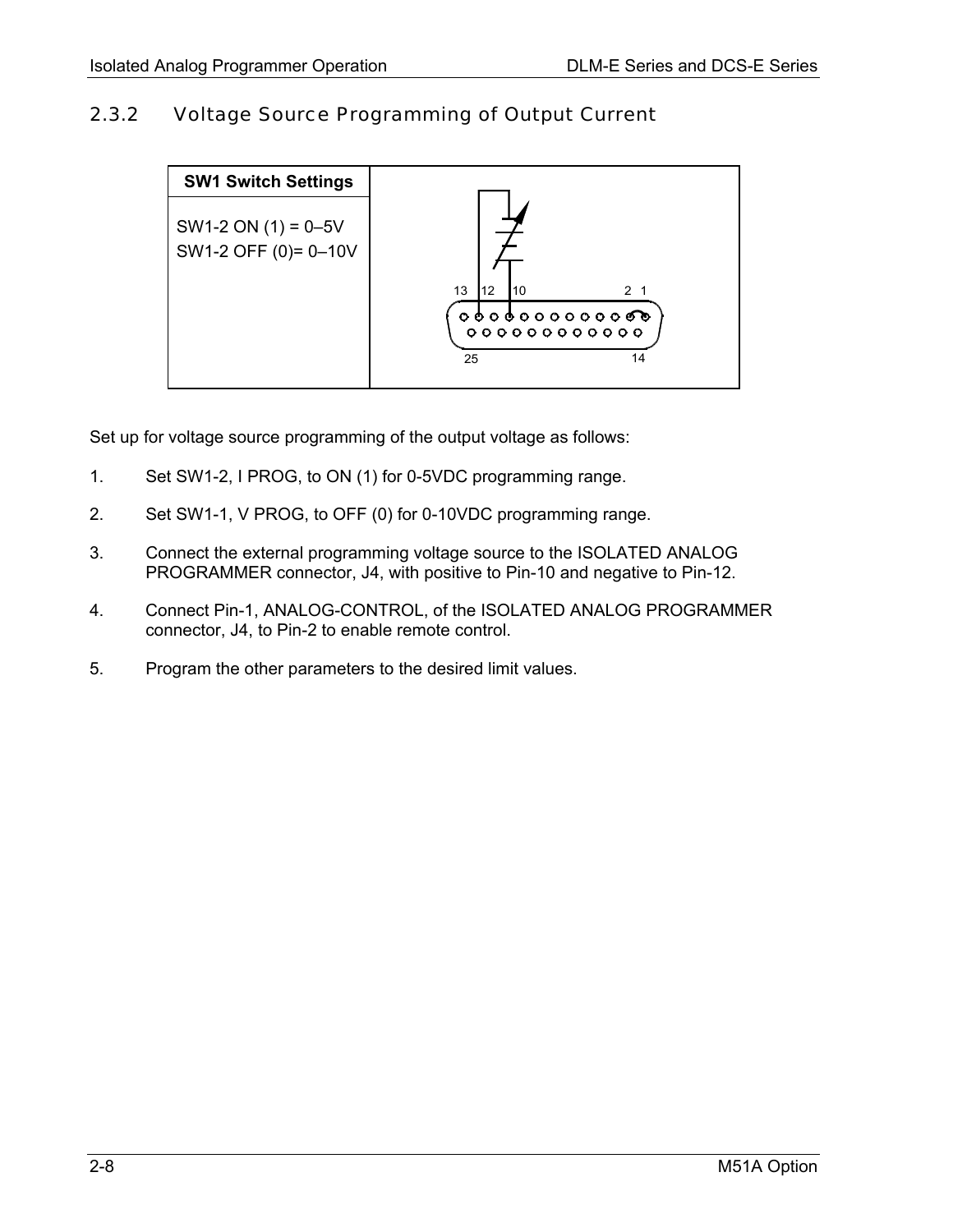## <span id="page-15-0"></span>2.3.2 Voltage Source Programming of Output Current



Set up for voltage source programming of the output voltage as follows:

- 1. Set SW1-2, I PROG, to ON (1) for 0-5VDC programming range.
- 2. Set SW1-1, V PROG, to OFF (0) for 0-10VDC programming range.
- 3. Connect the external programming voltage source to the ISOLATED ANALOG PROGRAMMER connector, J4, with positive to Pin-10 and negative to Pin-12.
- 4. Connect Pin-1, ANALOG-CONTROL, of the ISOLATED ANALOG PROGRAMMER connector, J4, to Pin-2 to enable remote control.
- 5. Program the other parameters to the desired limit values.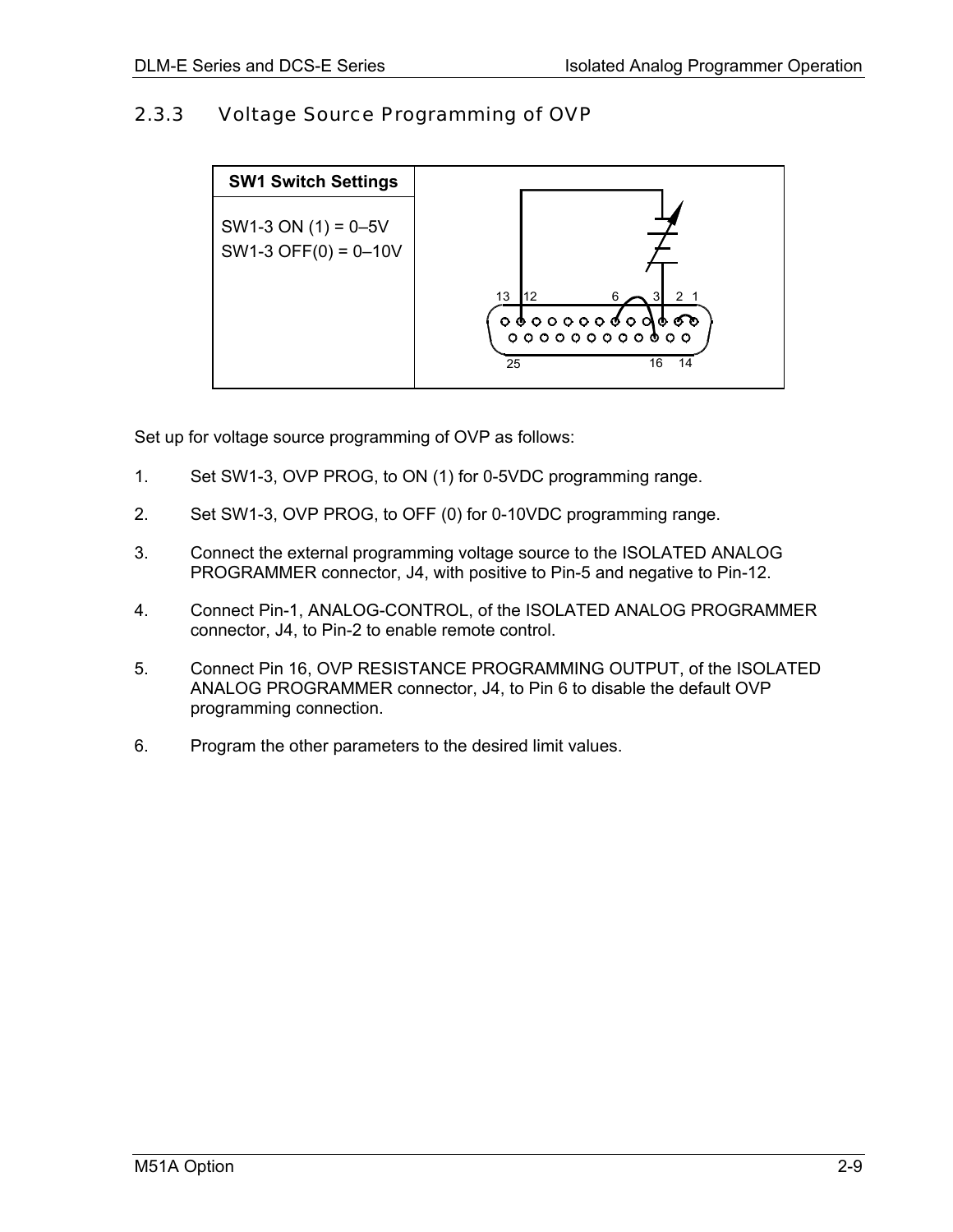#### <span id="page-16-0"></span>2.3.3 Voltage Source Programming of OVP



Set up for voltage source programming of OVP as follows:

- 1. Set SW1-3, OVP PROG, to ON (1) for 0-5VDC programming range.
- 2. Set SW1-3, OVP PROG, to OFF (0) for 0-10VDC programming range.
- 3. Connect the external programming voltage source to the ISOLATED ANALOG PROGRAMMER connector, J4, with positive to Pin-5 and negative to Pin-12.
- 4. Connect Pin-1, ANALOG-CONTROL, of the ISOLATED ANALOG PROGRAMMER connector, J4, to Pin-2 to enable remote control.
- 5. Connect Pin 16, OVP RESISTANCE PROGRAMMING OUTPUT, of the ISOLATED ANALOG PROGRAMMER connector, J4, to Pin 6 to disable the default OVP programming connection.
- 6. Program the other parameters to the desired limit values.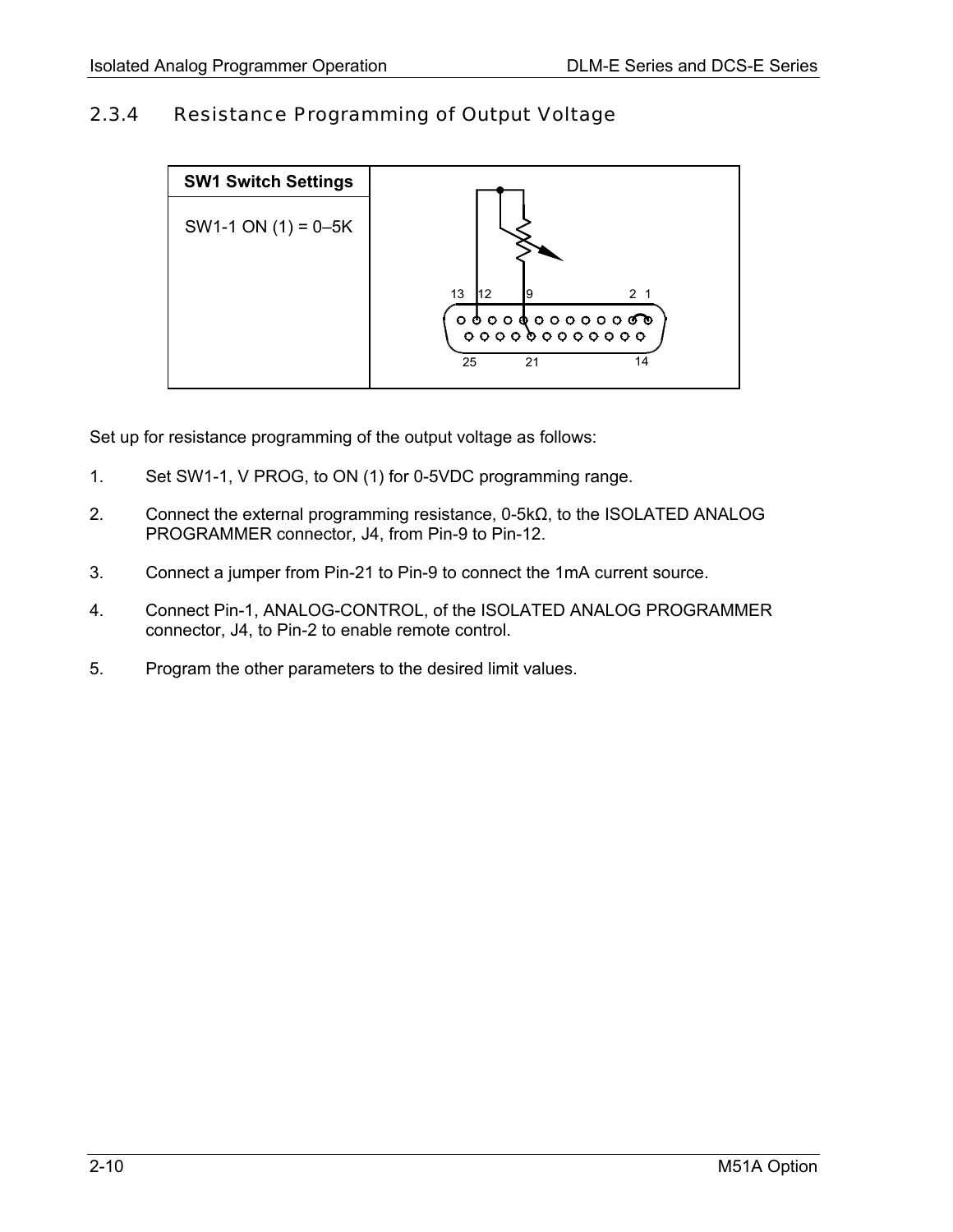## <span id="page-17-0"></span>2.3.4 Resistance Programming of Output Voltage



Set up for resistance programming of the output voltage as follows:

- 1. Set SW1-1, V PROG, to ON (1) for 0-5VDC programming range.
- 2. Connect the external programming resistance, 0-5kΩ, to the ISOLATED ANALOG PROGRAMMER connector, J4, from Pin-9 to Pin-12.
- 3. Connect a jumper from Pin-21 to Pin-9 to connect the 1mA current source.
- 4. Connect Pin-1, ANALOG-CONTROL, of the ISOLATED ANALOG PROGRAMMER connector, J4, to Pin-2 to enable remote control.
- 5. Program the other parameters to the desired limit values.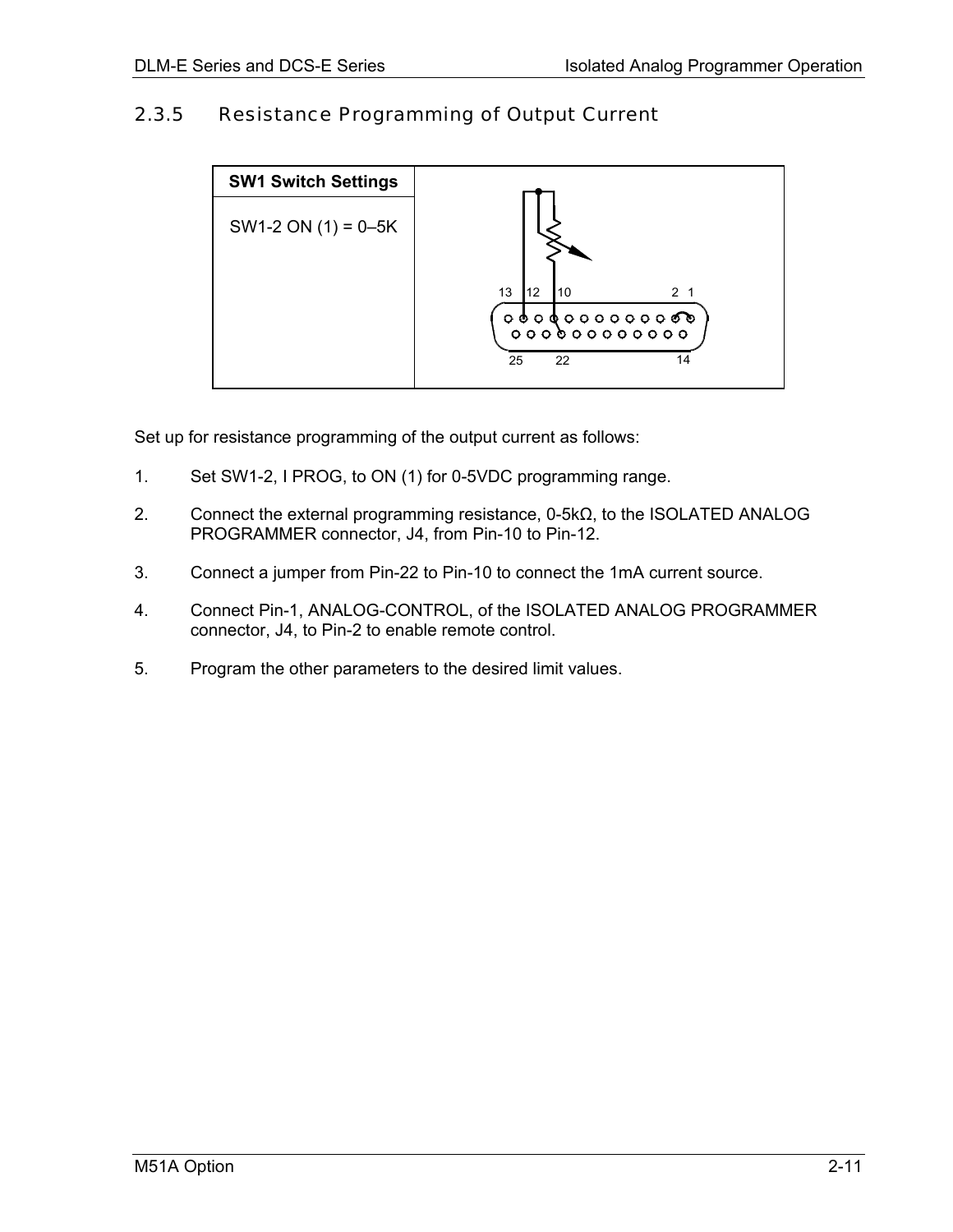### <span id="page-18-0"></span>2.3.5 Resistance Programming of Output Current



Set up for resistance programming of the output current as follows:

- 1. Set SW1-2, I PROG, to ON (1) for 0-5VDC programming range.
- 2. Connect the external programming resistance, 0-5kΩ, to the ISOLATED ANALOG PROGRAMMER connector, J4, from Pin-10 to Pin-12.
- 3. Connect a jumper from Pin-22 to Pin-10 to connect the 1mA current source.
- 4. Connect Pin-1, ANALOG-CONTROL, of the ISOLATED ANALOG PROGRAMMER connector, J4, to Pin-2 to enable remote control.
- 5. Program the other parameters to the desired limit values.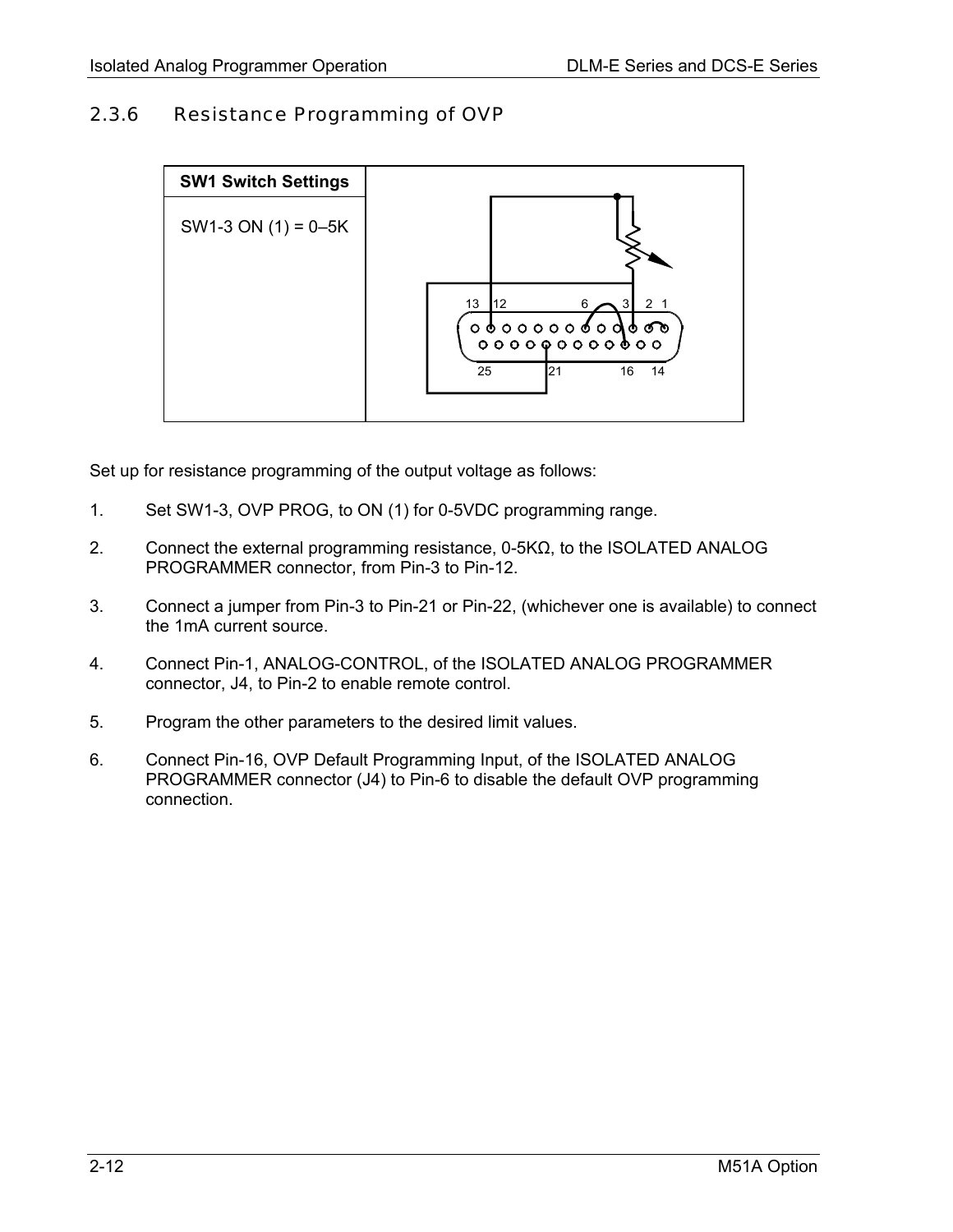#### <span id="page-19-0"></span>2.3.6 Resistance Programming of OVP



Set up for resistance programming of the output voltage as follows:

- 1. Set SW1-3, OVP PROG, to ON (1) for 0-5VDC programming range.
- 2. Connect the external programming resistance, 0-5KΩ, to the ISOLATED ANALOG PROGRAMMER connector, from Pin-3 to Pin-12.
- 3. Connect a jumper from Pin-3 to Pin-21 or Pin-22, (whichever one is available) to connect the 1mA current source.
- 4. Connect Pin-1, ANALOG-CONTROL, of the ISOLATED ANALOG PROGRAMMER connector, J4, to Pin-2 to enable remote control.
- 5. Program the other parameters to the desired limit values.
- 6. Connect Pin-16, OVP Default Programming Input, of the ISOLATED ANALOG PROGRAMMER connector (J4) to Pin-6 to disable the default OVP programming connection.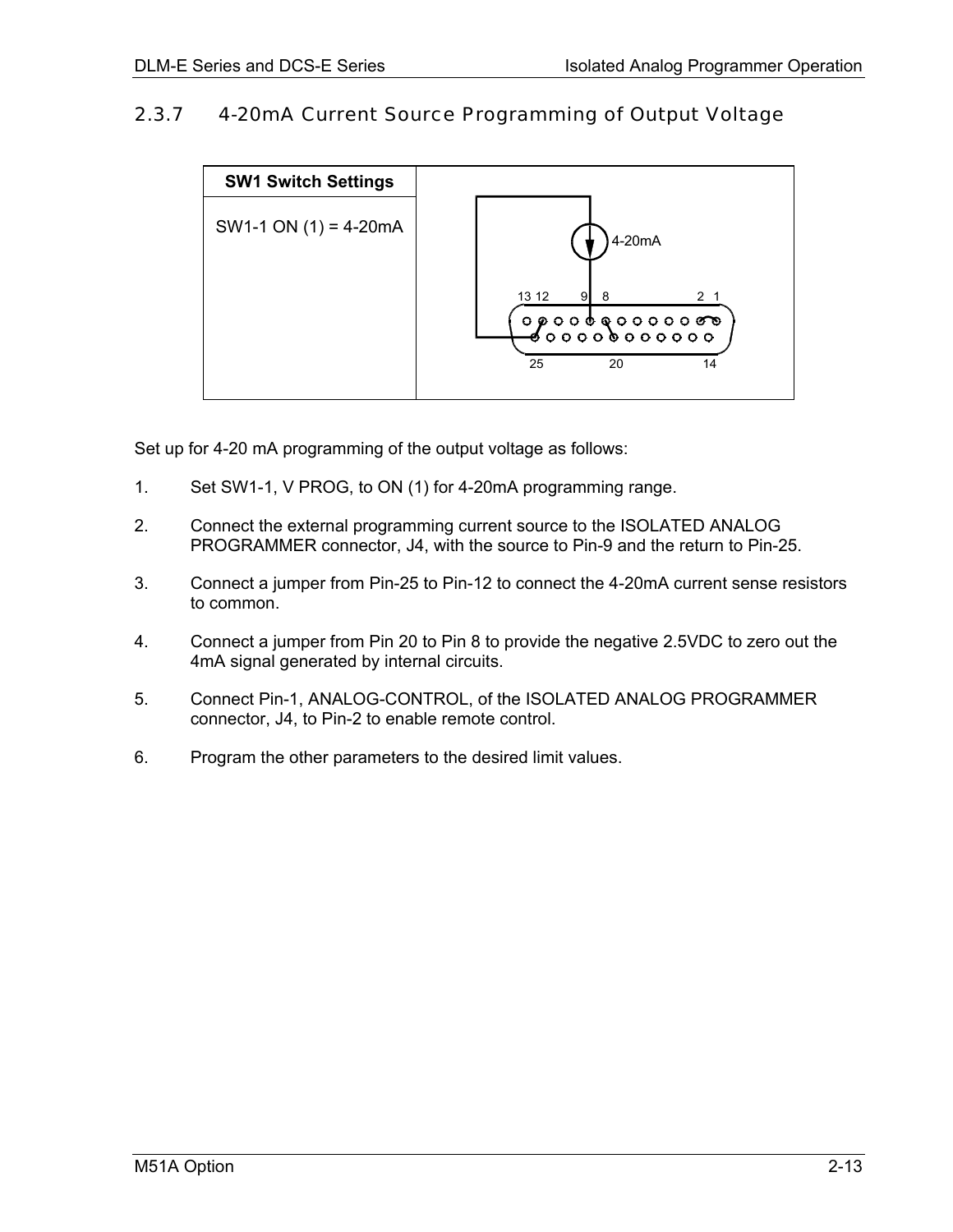#### <span id="page-20-0"></span>2.3.7 4-20mA Current Source Programming of Output Voltage



Set up for 4-20 mA programming of the output voltage as follows:

- 1. Set SW1-1, V PROG, to ON (1) for 4-20mA programming range.
- 2. Connect the external programming current source to the ISOLATED ANALOG PROGRAMMER connector, J4, with the source to Pin-9 and the return to Pin-25.
- 3. Connect a jumper from Pin-25 to Pin-12 to connect the 4-20mA current sense resistors to common.
- 4. Connect a jumper from Pin 20 to Pin 8 to provide the negative 2.5VDC to zero out the 4mA signal generated by internal circuits.
- 5. Connect Pin-1, ANALOG-CONTROL, of the ISOLATED ANALOG PROGRAMMER connector, J4, to Pin-2 to enable remote control.
- 6. Program the other parameters to the desired limit values.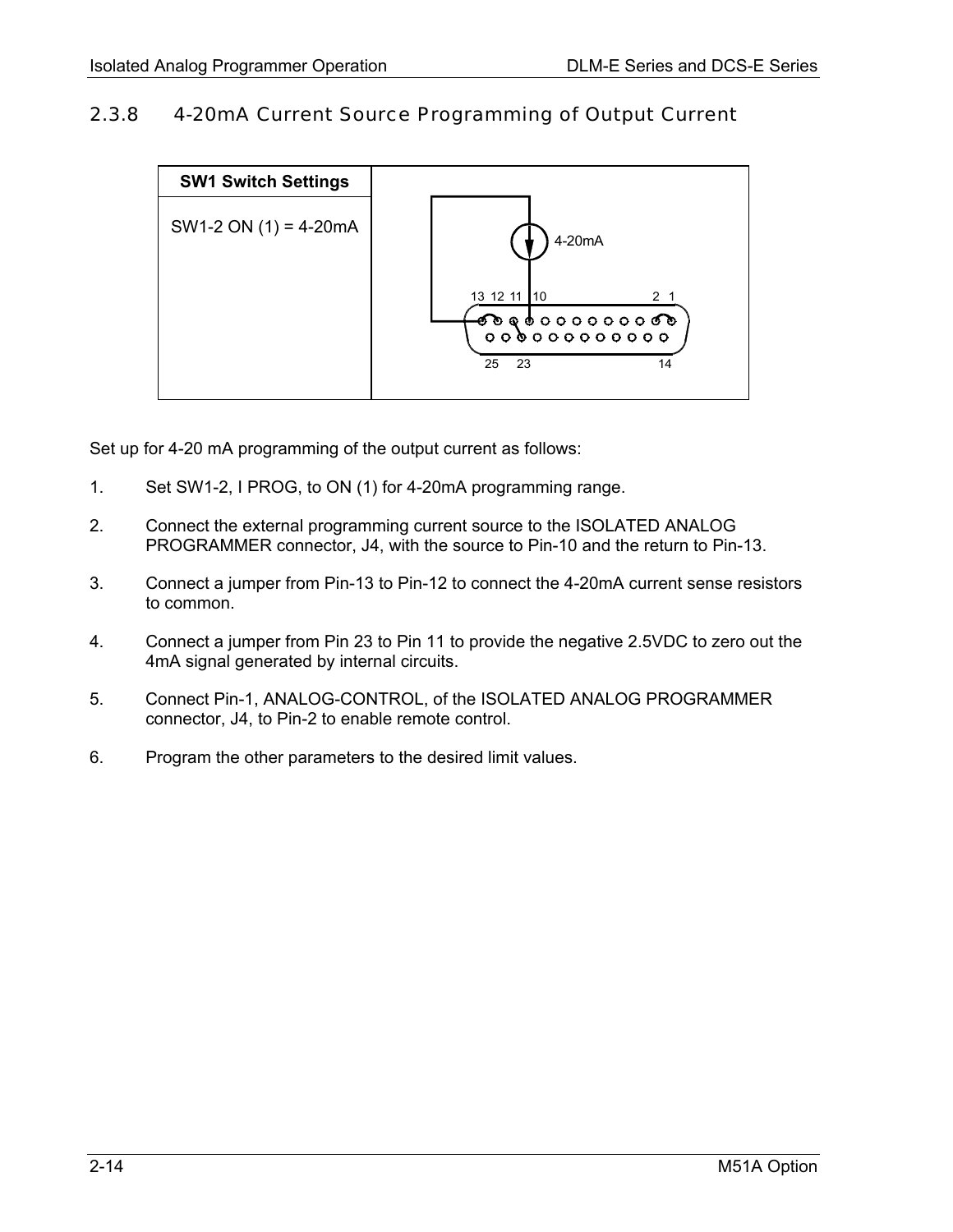#### <span id="page-21-0"></span>2.3.8 4-20mA Current Source Programming of Output Current



Set up for 4-20 mA programming of the output current as follows:

- 1. Set SW1-2, I PROG, to ON (1) for 4-20mA programming range.
- 2. Connect the external programming current source to the ISOLATED ANALOG PROGRAMMER connector, J4, with the source to Pin-10 and the return to Pin-13.
- 3. Connect a jumper from Pin-13 to Pin-12 to connect the 4-20mA current sense resistors to common.
- 4. Connect a jumper from Pin 23 to Pin 11 to provide the negative 2.5VDC to zero out the 4mA signal generated by internal circuits.
- 5. Connect Pin-1, ANALOG-CONTROL, of the ISOLATED ANALOG PROGRAMMER connector, J4, to Pin-2 to enable remote control.
- 6. Program the other parameters to the desired limit values.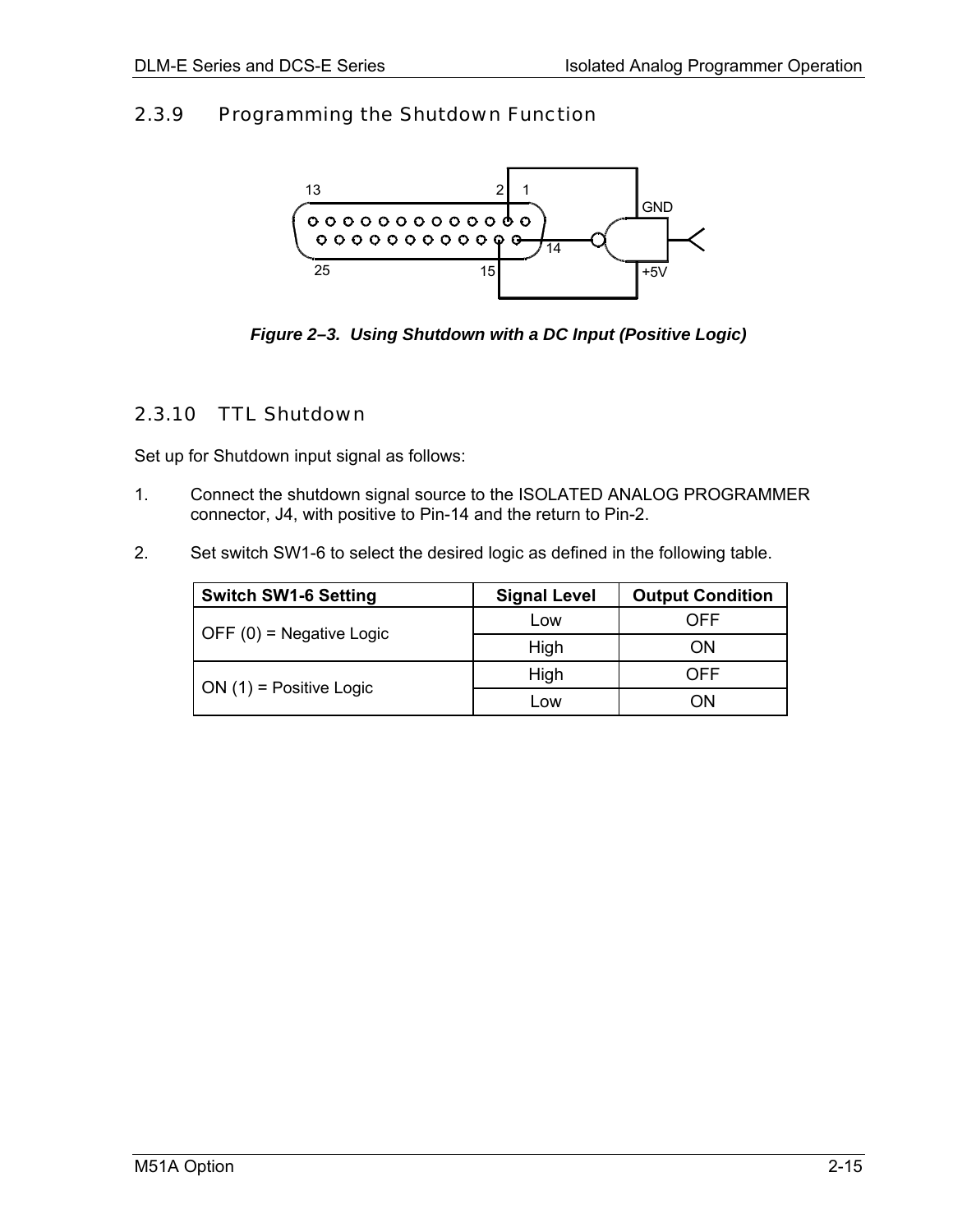### <span id="page-22-0"></span>2.3.9 Programming the Shutdown Function



*Figure 2–3. Using Shutdown with a DC Input (Positive Logic)* 

### 2.3.10 TTL Shutdown

Set up for Shutdown input signal as follows:

- 1. Connect the shutdown signal source to the ISOLATED ANALOG PROGRAMMER connector, J4, with positive to Pin-14 and the return to Pin-2.
- 2. Set switch SW1-6 to select the desired logic as defined in the following table.

| <b>Switch SW1-6 Setting</b> | <b>Signal Level</b> | <b>Output Condition</b> |
|-----------------------------|---------------------|-------------------------|
| OFF $(0)$ = Negative Logic  | Low                 | OFF                     |
|                             | High                | ON                      |
|                             | High                | OFF                     |
| $ON(1)$ = Positive Logic    | Low                 | OΝ                      |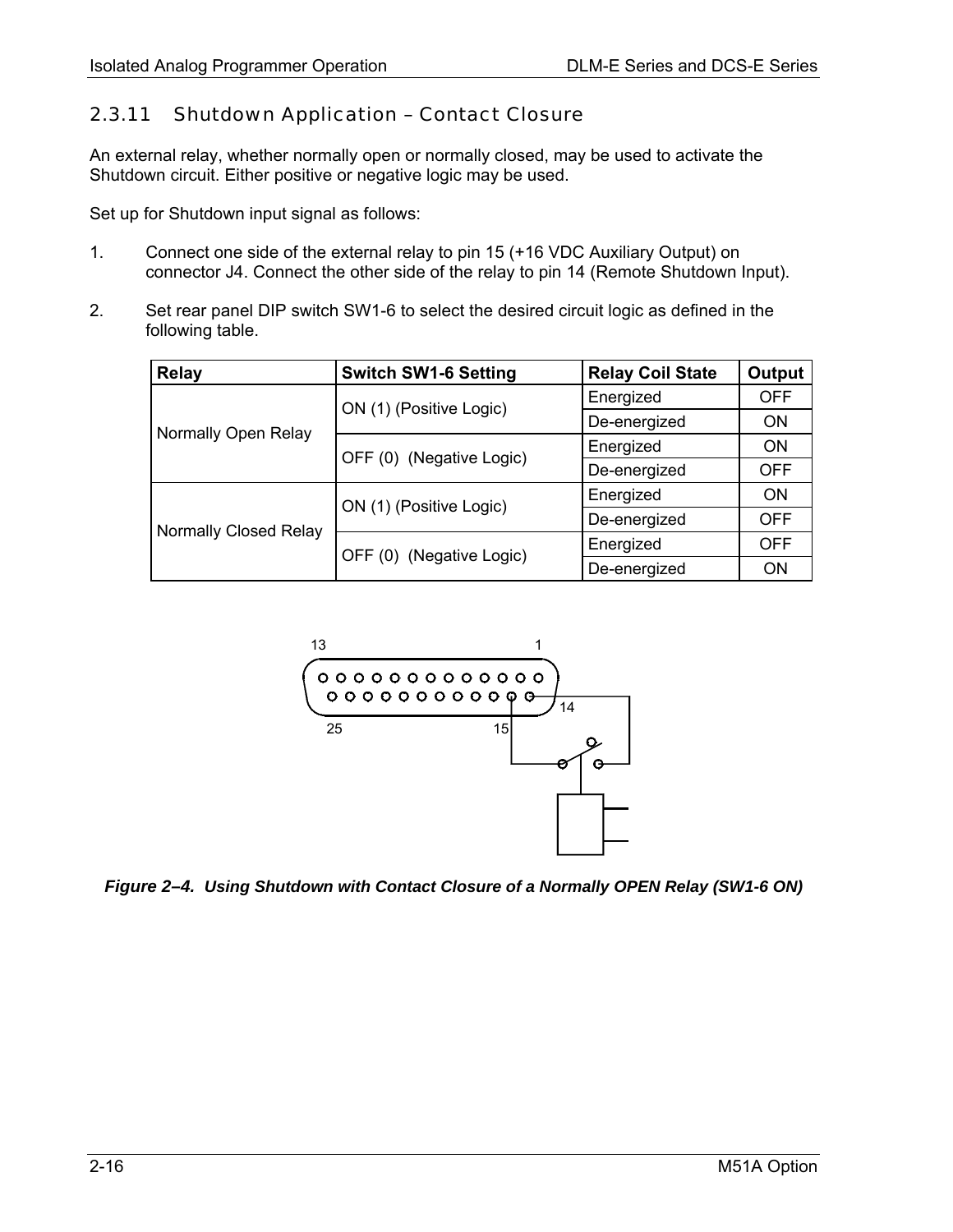#### <span id="page-23-0"></span>2.3.11 Shutdown Application – Contact Closure

An external relay, whether normally open or normally closed, may be used to activate the Shutdown circuit. Either positive or negative logic may be used.

Set up for Shutdown input signal as follows:

- 1. Connect one side of the external relay to pin 15 (+16 VDC Auxiliary Output) on connector J4. Connect the other side of the relay to pin 14 (Remote Shutdown Input).
- 2. Set rear panel DIP switch SW1-6 to select the desired circuit logic as defined in the following table.

| <b>Relay</b>          | <b>Switch SW1-6 Setting</b> | <b>Relay Coil State</b> | Output     |
|-----------------------|-----------------------------|-------------------------|------------|
|                       | ON (1) (Positive Logic)     | Energized               | <b>OFF</b> |
|                       |                             | De-energized            | <b>ON</b>  |
| Normally Open Relay   | OFF (0) (Negative Logic)    | Energized               | <b>ON</b>  |
|                       |                             | De-energized            | <b>OFF</b> |
|                       |                             | Energized               | <b>ON</b>  |
|                       | ON (1) (Positive Logic)     | De-energized            | <b>OFF</b> |
| Normally Closed Relay |                             | Energized               | <b>OFF</b> |
|                       | OFF (0) (Negative Logic)    | De-energized            | ON         |



*Figure 2–4. Using Shutdown with Contact Closure of a Normally OPEN Relay (SW1-6 ON)*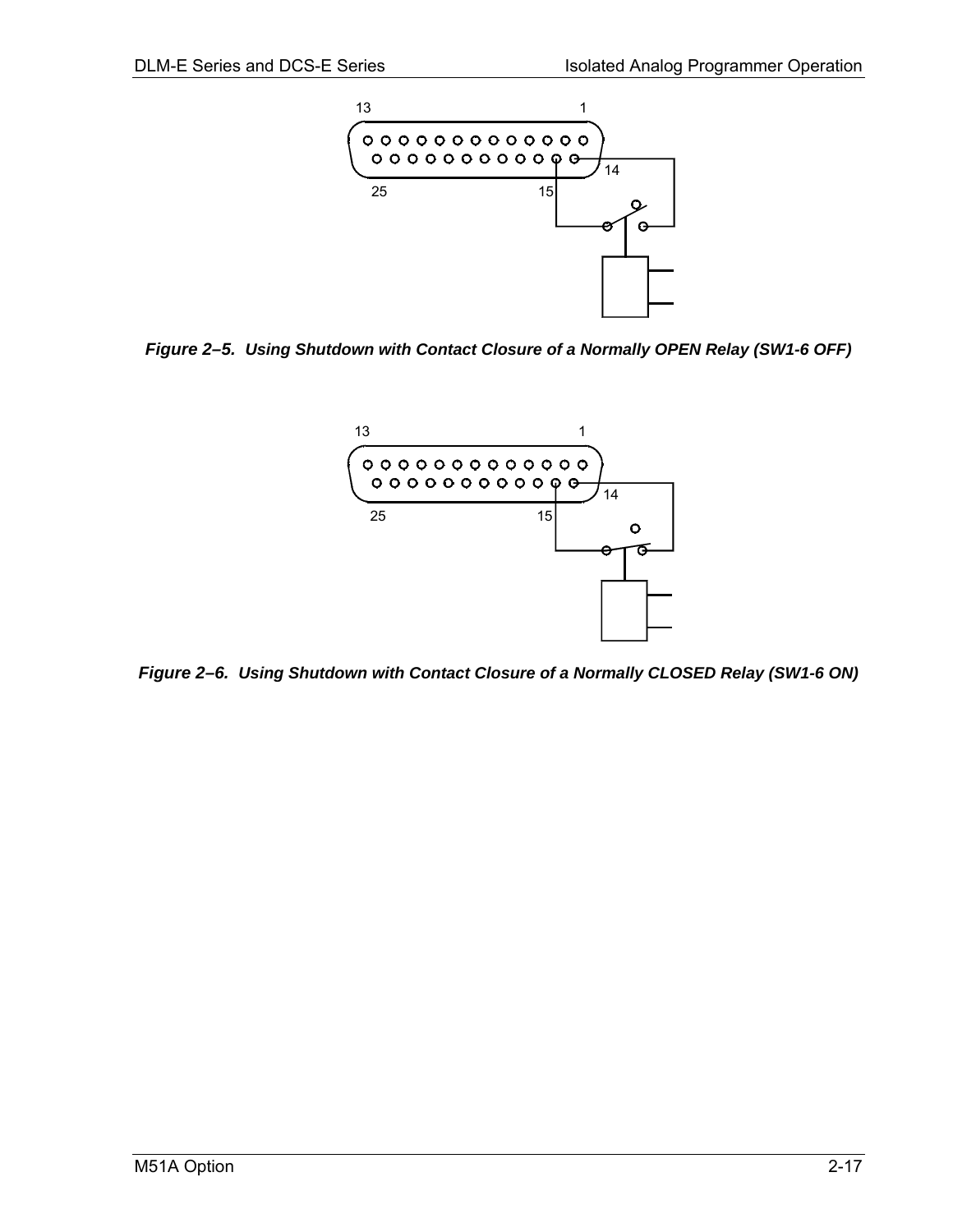<span id="page-24-0"></span>

*Figure 2–5. Using Shutdown with Contact Closure of a Normally OPEN Relay (SW1-6 OFF)* 



*Figure 2–6. Using Shutdown with Contact Closure of a Normally CLOSED Relay (SW1-6 ON)*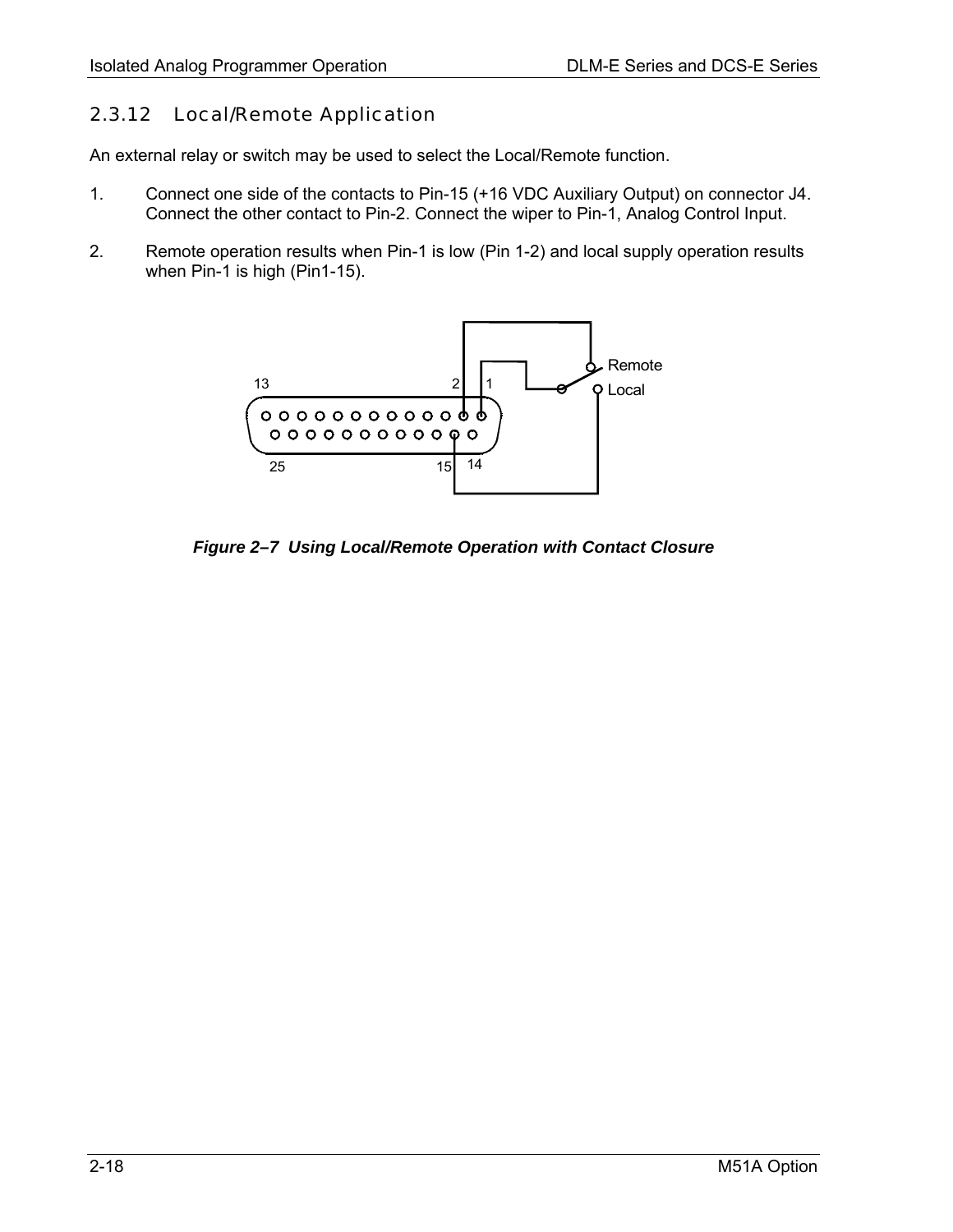#### <span id="page-25-0"></span>2.3.12 Local/Remote Application

An external relay or switch may be used to select the Local/Remote function.

- 1. Connect one side of the contacts to Pin-15 (+16 VDC Auxiliary Output) on connector J4. Connect the other contact to Pin-2. Connect the wiper to Pin-1, Analog Control Input.
- 2. Remote operation results when Pin-1 is low (Pin 1-2) and local supply operation results when Pin-1 is high (Pin1-15).



*Figure 2–7 Using Local/Remote Operation with Contact Closure*